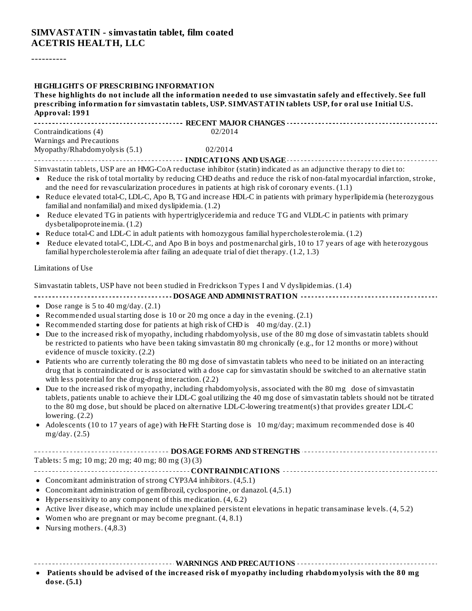----------

| <b>HIGHLIGHTS OF PRESCRIBING INFORMATION</b><br>These highlights do not include all the information needed to use simvastatin safely and effectively. See full<br>prescribing information for simvastatin tablets, USP. SIMVASTATIN tablets USP, for oral use Initial U.S.<br>Approval: 1991                                                                                                                                                                                                                                                                                                                                                                                                                                                                                                                                                                                                                                                                                                                                                                                                                                                                                                                                                                                                                                                          |
|-------------------------------------------------------------------------------------------------------------------------------------------------------------------------------------------------------------------------------------------------------------------------------------------------------------------------------------------------------------------------------------------------------------------------------------------------------------------------------------------------------------------------------------------------------------------------------------------------------------------------------------------------------------------------------------------------------------------------------------------------------------------------------------------------------------------------------------------------------------------------------------------------------------------------------------------------------------------------------------------------------------------------------------------------------------------------------------------------------------------------------------------------------------------------------------------------------------------------------------------------------------------------------------------------------------------------------------------------------|
| Contraindications (4)<br>02/2014                                                                                                                                                                                                                                                                                                                                                                                                                                                                                                                                                                                                                                                                                                                                                                                                                                                                                                                                                                                                                                                                                                                                                                                                                                                                                                                      |
| Warnings and Precautions                                                                                                                                                                                                                                                                                                                                                                                                                                                                                                                                                                                                                                                                                                                                                                                                                                                                                                                                                                                                                                                                                                                                                                                                                                                                                                                              |
| Myopathy/Rhabdomyolysis (5.1)<br>02/2014                                                                                                                                                                                                                                                                                                                                                                                                                                                                                                                                                                                                                                                                                                                                                                                                                                                                                                                                                                                                                                                                                                                                                                                                                                                                                                              |
| Simvastatin tablets, USP are an HMG-CoA reductase inhibitor (statin) indicated as an adjunctive therapy to diet to:<br>Reduce the risk of total mortality by reducing CHD deaths and reduce the risk of non-fatal myocardial infarction, stroke,<br>$\bullet$<br>and the need for revascularization procedures in patients at high risk of coronary events. (1.1)<br>• Reduce elevated total-C, LDL-C, Apo B, TG and increase HDL-C in patients with primary hyperlipidemia (heterozygous<br>familial and nonfamilial) and mixed dyslipidemia. (1.2)<br>Reduce elevated TG in patients with hypertriglyceridemia and reduce TG and VLDL-C in patients with primary<br>$\bullet$<br>dysbetalipoproteinemia. (1.2)<br>Reduce total-C and LDL-C in adult patients with homozygous familial hypercholesterolemia. (1.2)<br>$\bullet$<br>Reduce elevated total-C, LDL-C, and Apo B in boys and postmenarchal girls, 10 to 17 years of age with heterozygous<br>٠<br>familial hypercholesterolemia after failing an adequate trial of diet therapy. (1.2, 1.3)                                                                                                                                                                                                                                                                                              |
| Limitations of Use                                                                                                                                                                                                                                                                                                                                                                                                                                                                                                                                                                                                                                                                                                                                                                                                                                                                                                                                                                                                                                                                                                                                                                                                                                                                                                                                    |
| Simvastatin tablets, USP have not been studied in Fredrickson Types I and V dyslipidemias. (1.4)<br>------------------------------------ DOSAGE AND ADMINISTRATION -----------------------------------                                                                                                                                                                                                                                                                                                                                                                                                                                                                                                                                                                                                                                                                                                                                                                                                                                                                                                                                                                                                                                                                                                                                                |
| • Dose range is $5$ to $40$ mg/day. $(2.1)$<br>• Recommended usual starting dose is 10 or 20 mg once a day in the evening. $(2.1)$<br>Recommended starting dose for patients at high risk of CHD is 40 mg/day. (2.1)<br>Due to the increased risk of myopathy, including rhabdomyolysis, use of the 80 mg dose of simvastatin tablets should<br>be restricted to patients who have been taking simvastatin 80 mg chronically (e.g., for 12 months or more) without<br>evidence of muscle toxicity. (2.2)<br>Patients who are currently tolerating the 80 mg dose of simvastatin tablets who need to be initiated on an interacting<br>drug that is contraindicated or is associated with a dose cap for simvastatin should be switched to an alternative statin<br>with less potential for the drug-drug interaction. (2.2)<br>Due to the increased risk of myopathy, including rhabdomyolysis, associated with the 80 mg dose of simvastatin<br>tablets, patients unable to achieve their LDL-C goal utilizing the 40 mg dose of simvastatin tablets should not be titrated<br>to the 80 mg dose, but should be placed on alternative LDL-C-lowering treatment(s) that provides greater LDL-C<br>lowering. $(2.2)$<br>• Adolescents (10 to 17 years of age) with HeFH: Starting dose is 10 mg/day; maximum recommended dose is 40<br>mg/day. $(2.5)$ |
| Tablets: 5 mg; 10 mg; 20 mg; 40 mg; 80 mg (3)(3)                                                                                                                                                                                                                                                                                                                                                                                                                                                                                                                                                                                                                                                                                                                                                                                                                                                                                                                                                                                                                                                                                                                                                                                                                                                                                                      |
| • Concomitant administration of strong CYP3A4 inhibitors. (4,5.1)<br>• Concomitant administration of gemfibrozil, cyclosporine, or danazol. (4,5.1)<br>• Hypersensitivity to any component of this medication. (4, 6.2)<br>• Active liver disease, which may include unexplained persistent elevations in hepatic transaminase levels. (4, 5.2)<br>• Women who are pregnant or may become pregnant. (4, 8.1)<br>• Nursing mothers. $(4,8.3)$                                                                                                                                                                                                                                                                                                                                                                                                                                                                                                                                                                                                                                                                                                                                                                                                                                                                                                          |
| Deticate should be editied of the increased righ of more attacting heliaw shok domain baise sith the 0.0 mg                                                                                                                                                                                                                                                                                                                                                                                                                                                                                                                                                                                                                                                                                                                                                                                                                                                                                                                                                                                                                                                                                                                                                                                                                                           |

**Patients should be advised of the increased risk of myopathy including rhabdomyolysis with the 80 mg**  $\bullet$ **dose. (5.1)**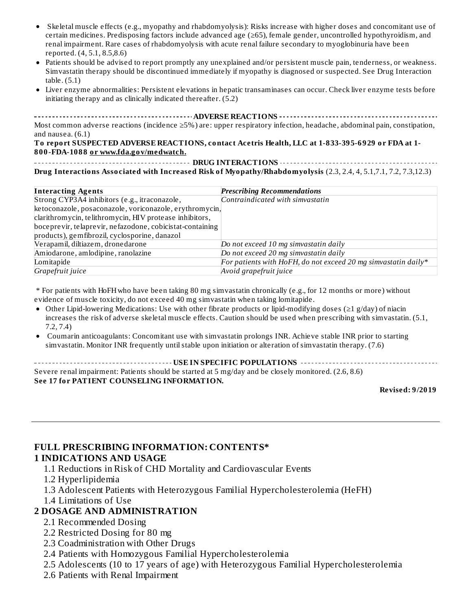- Skeletal muscle effects (e.g., myopathy and rhabdomyolysis): Risks increase with higher doses and concomitant use of certain medicines. Predisposing factors include advanced age (≥65), female gender, uncontrolled hypothyroidism, and renal impairment. Rare cases of rhabdomyolysis with acute renal failure secondary to myoglobinuria have been reported. (4, 5.1, 8.5,8.6)
- Patients should be advised to report promptly any unexplained and/or persistent muscle pain, tenderness, or weakness. Simvastatin therapy should be discontinued immediately if myopathy is diagnosed or suspected. See Drug Interaction table. (5.1)
- Liver enzyme abnormalities: Persistent elevations in hepatic transaminases can occur. Check liver enzyme tests before initiating therapy and as clinically indicated thereafter. (5.2)

**ADVERSE REACTIONS** Most common adverse reactions (incidence ≥5%) are: upper respiratory infection, headache, abdominal pain, constipation, and nausea. (6.1)

**To report SUSPECTED ADVERSE REACTIONS, contact Acetris Health, LLC at 1-833-395-6929 or FDA at 1- 800-FDA-1088 or www.fda.gov/medwatch.**

**DRUG INTERACTIONS Drug Interactions Associated with Increased Risk of Myopathy/Rhabdomyolysis** (2.3, 2.4, 4, 5.1,7.1, 7.2, 7.3,12.3)

| <b>Interacting Agents</b>                                 | <b>Prescribing Recommendations</b>                             |
|-----------------------------------------------------------|----------------------------------------------------------------|
| Strong CYP3A4 inhibitors (e.g., itraconazole,             | Contraindicated with simvastatin                               |
| ketoconazole, posaconazole, voriconazole, erythromycin,   |                                                                |
| clarithromycin, telithromycin, HIV protease inhibitors,   |                                                                |
| boceprevir, telaprevir, nefazodone, cobicistat-containing |                                                                |
| products), gemfibrozil, cyclosporine, danazol             |                                                                |
| Verapamil, diltiazem, dronedarone                         | Do not exceed 10 mg simvastatin daily                          |
| Amiodarone, amlodipine, ranolazine                        | Do not exceed 20 mg simvastatin daily                          |
| Lomitapide                                                | For patients with HoFH, do not exceed 20 mq simvastatin daily* |
| Grapefruit juice                                          | Avoid grapefruit juice                                         |

\* For patients with HoFHwho have been taking 80 mg simvastatin chronically (e.g., for 12 months or more) without evidence of muscle toxicity, do not exceed 40 mg simvastatin when taking lomitapide.

- Other Lipid-lowering Medications: Use with other fibrate products or lipid-modifying doses ( $\geq 1$  g/day) of niacin increases the risk of adverse skeletal muscle effects. Caution should be used when prescribing with simvastatin. (5.1, 7.2, 7.4)
- Coumarin anticoagulants: Concomitant use with simvastatin prolongs INR. Achieve stable INR prior to starting simvastatin. Monitor INR frequently until stable upon initiation or alteration of simvastatin therapy. (7.6)

| Severe renal impairment: Patients should be started at 5 mg/day and be closely monitored. (2.6, 8.6) |
|------------------------------------------------------------------------------------------------------|
| <b>See 17 for PATIENT COUNSELING INFORMATION.</b>                                                    |

**Revised: 9/2019**

#### **FULL PRESCRIBING INFORMATION: CONTENTS\* 1 INDICATIONS AND USAGE**

1.1 Reductions in Risk of CHD Mortality and Cardiovascular Events

- 1.2 Hyperlipidemia
- 1.3 Adolescent Patients with Heterozygous Familial Hypercholesterolemia (HeFH)
- 1.4 Limitations of Use

#### **2 DOSAGE AND ADMINISTRATION**

- 2.1 Recommended Dosing
- 2.2 Restricted Dosing for 80 mg
- 2.3 Coadministration with Other Drugs
- 2.4 Patients with Homozygous Familial Hypercholesterolemia
- 2.5 Adolescents (10 to 17 years of age) with Heterozygous Familial Hypercholesterolemia
- 2.6 Patients with Renal Impairment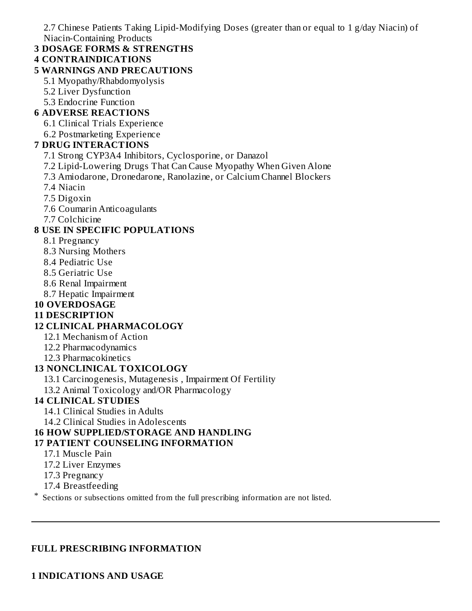2.7 Chinese Patients Taking Lipid-Modifying Doses (greater than or equal to 1 g/day Niacin) of Niacin-Containing Products

**3 DOSAGE FORMS & STRENGTHS**

#### **4 CONTRAINDICATIONS**

#### **5 WARNINGS AND PRECAUTIONS**

- 5.1 Myopathy/Rhabdomyolysis
- 5.2 Liver Dysfunction
- 5.3 Endocrine Function

#### **6 ADVERSE REACTIONS**

- 6.1 Clinical Trials Experience
- 6.2 Postmarketing Experience

#### **7 DRUG INTERACTIONS**

- 7.1 Strong CYP3A4 Inhibitors, Cyclosporine, or Danazol
- 7.2 Lipid-Lowering Drugs That Can Cause Myopathy When Given Alone
- 7.3 Amiodarone, Dronedarone, Ranolazine, or Calcium Channel Blockers
- 7.4 Niacin
- 7.5 Digoxin
- 7.6 Coumarin Anticoagulants
- 7.7 Colchicine

#### **8 USE IN SPECIFIC POPULATIONS**

- 8.1 Pregnancy
- 8.3 Nursing Mothers
- 8.4 Pediatric Use
- 8.5 Geriatric Use
- 8.6 Renal Impairment
- 8.7 Hepatic Impairment

## **10 OVERDOSAGE**

#### **11 DESCRIPTION**

#### **12 CLINICAL PHARMACOLOGY**

- 12.1 Mechanism of Action
- 12.2 Pharmacodynamics
- 12.3 Pharmacokinetics

#### **13 NONCLINICAL TOXICOLOGY**

- 13.1 Carcinogenesis, Mutagenesis , Impairment Of Fertility
- 13.2 Animal Toxicology and/OR Pharmacology

#### **14 CLINICAL STUDIES**

- 14.1 Clinical Studies in Adults
- 14.2 Clinical Studies in Adolescents

## **16 HOW SUPPLIED/STORAGE AND HANDLING**

#### **17 PATIENT COUNSELING INFORMATION**

- 17.1 Muscle Pain
- 17.2 Liver Enzymes
- 17.3 Pregnancy
- 17.4 Breastfeeding

\* Sections or subsections omitted from the full prescribing information are not listed.

#### **FULL PRESCRIBING INFORMATION**

#### **1 INDICATIONS AND USAGE**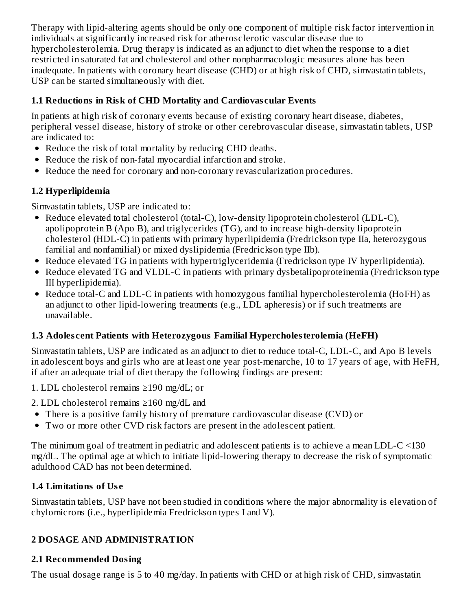Therapy with lipid-altering agents should be only one component of multiple risk factor intervention in individuals at significantly increased risk for atherosclerotic vascular disease due to hypercholesterolemia. Drug therapy is indicated as an adjunct to diet when the response to a diet restricted in saturated fat and cholesterol and other nonpharmacologic measures alone has been inadequate. In patients with coronary heart disease (CHD) or at high risk of CHD, simvastatin tablets, USP can be started simultaneously with diet.

## **1.1 Reductions in Risk of CHD Mortality and Cardiovas cular Events**

In patients at high risk of coronary events because of existing coronary heart disease, diabetes, peripheral vessel disease, history of stroke or other cerebrovascular disease, simvastatin tablets, USP are indicated to:

- Reduce the risk of total mortality by reducing CHD deaths.
- Reduce the risk of non-fatal myocardial infarction and stroke.
- Reduce the need for coronary and non-coronary revascularization procedures.

# **1.2 Hyperlipidemia**

Simvastatin tablets, USP are indicated to:

- Reduce elevated total cholesterol (total-C), low-density lipoprotein cholesterol (LDL-C), apolipoprotein B (Apo B), and triglycerides (TG), and to increase high-density lipoprotein cholesterol (HDL-C) in patients with primary hyperlipidemia (Fredrickson type IIa, heterozygous familial and nonfamilial) or mixed dyslipidemia (Fredrickson type IIb).
- Reduce elevated TG in patients with hypertriglyceridemia (Fredrickson type IV hyperlipidemia).
- Reduce elevated TG and VLDL-C in patients with primary dysbetalipoproteinemia (Fredrickson type III hyperlipidemia).
- Reduce total-C and LDL-C in patients with homozygous familial hypercholesterolemia (HoFH) as an adjunct to other lipid-lowering treatments (e.g., LDL apheresis) or if such treatments are unavailable.

# **1.3 Adoles cent Patients with Heterozygous Familial Hypercholesterolemia (HeFH)**

Simvastatin tablets, USP are indicated as an adjunct to diet to reduce total-C, LDL-C, and Apo B levels in adolescent boys and girls who are at least one year post-menarche, 10 to 17 years of age, with HeFH, if after an adequate trial of diet therapy the following findings are present:

- 1. LDL cholesterol remains ≥190 mg/dL; or
- 2. LDL cholesterol remains ≥160 mg/dL and
- There is a positive family history of premature cardiovascular disease (CVD) or
- Two or more other CVD risk factors are present in the adolescent patient.

The minimum goal of treatment in pediatric and adolescent patients is to achieve a mean LDL-C <130 mg/dL. The optimal age at which to initiate lipid-lowering therapy to decrease the risk of symptomatic adulthood CAD has not been determined.

## **1.4 Limitations of Us e**

Simvastatin tablets, USP have not been studied in conditions where the major abnormality is elevation of chylomicrons (i.e., hyperlipidemia Fredrickson types I and V).

# **2 DOSAGE AND ADMINISTRATION**

# **2.1 Recommended Dosing**

The usual dosage range is 5 to 40 mg/day. In patients with CHD or at high risk of CHD, simvastatin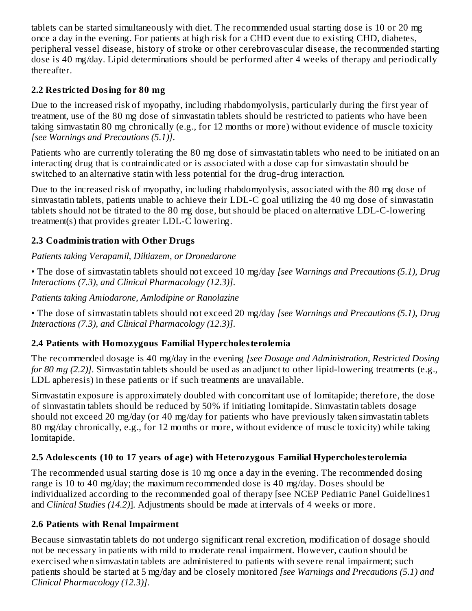tablets can be started simultaneously with diet. The recommended usual starting dose is 10 or 20 mg once a day in the evening. For patients at high risk for a CHD event due to existing CHD, diabetes, peripheral vessel disease, history of stroke or other cerebrovascular disease, the recommended starting dose is 40 mg/day. Lipid determinations should be performed after 4 weeks of therapy and periodically thereafter.

## **2.2 Restricted Dosing for 80 mg**

Due to the increased risk of myopathy, including rhabdomyolysis, particularly during the first year of treatment, use of the 80 mg dose of simvastatin tablets should be restricted to patients who have been taking simvastatin 80 mg chronically (e.g., for 12 months or more) without evidence of muscle toxicity *[see Warnings and Precautions (5.1)]*.

Patients who are currently tolerating the 80 mg dose of simvastatin tablets who need to be initiated on an interacting drug that is contraindicated or is associated with a dose cap for simvastatin should be switched to an alternative statin with less potential for the drug-drug interaction.

Due to the increased risk of myopathy, including rhabdomyolysis, associated with the 80 mg dose of simvastatin tablets, patients unable to achieve their LDL-C goal utilizing the 40 mg dose of simvastatin tablets should not be titrated to the 80 mg dose, but should be placed on alternative LDL-C-lowering treatment(s) that provides greater LDL-C lowering.

## **2.3 Coadministration with Other Drugs**

## *Patients taking Verapamil, Diltiazem, or Dronedarone*

• The dose of simvastatin tablets should not exceed 10 mg/day *[see Warnings and Precautions (5.1), Drug Interactions (7.3), and Clinical Pharmacology (12.3)]*.

## *Patients taking Amiodarone, Amlodipine or Ranolazine*

• The dose of simvastatin tablets should not exceed 20 mg/day *[see Warnings and Precautions (5.1), Drug Interactions (7.3), and Clinical Pharmacology (12.3)]*.

## **2.4 Patients with Homozygous Familial Hypercholesterolemia**

The recommended dosage is 40 mg/day in the evening *[see Dosage and Administration, Restricted Dosing for 80 mg (2.2)]*. Simvastatin tablets should be used as an adjunct to other lipid-lowering treatments (e.g., LDL apheresis) in these patients or if such treatments are unavailable.

Simvastatin exposure is approximately doubled with concomitant use of lomitapide; therefore, the dose of simvastatin tablets should be reduced by 50% if initiating lomitapide. Simvastatin tablets dosage should not exceed 20 mg/day (or 40 mg/day for patients who have previously taken simvastatin tablets 80 mg/day chronically, e.g., for 12 months or more, without evidence of muscle toxicity) while taking lomitapide.

# **2.5 Adoles cents (10 to 17 years of age) with Heterozygous Familial Hypercholesterolemia**

The recommended usual starting dose is 10 mg once a day in the evening. The recommended dosing range is 10 to 40 mg/day; the maximum recommended dose is 40 mg/day. Doses should be individualized according to the recommended goal of therapy [see NCEP Pediatric Panel Guidelines1 and *Clinical Studies (14.2)*]. Adjustments should be made at intervals of 4 weeks or more.

## **2.6 Patients with Renal Impairment**

Because simvastatin tablets do not undergo significant renal excretion, modification of dosage should not be necessary in patients with mild to moderate renal impairment. However, caution should be exercised when simvastatin tablets are administered to patients with severe renal impairment; such patients should be started at 5 mg/day and be closely monitored *[see Warnings and Precautions (5.1) and Clinical Pharmacology (12.3)]*.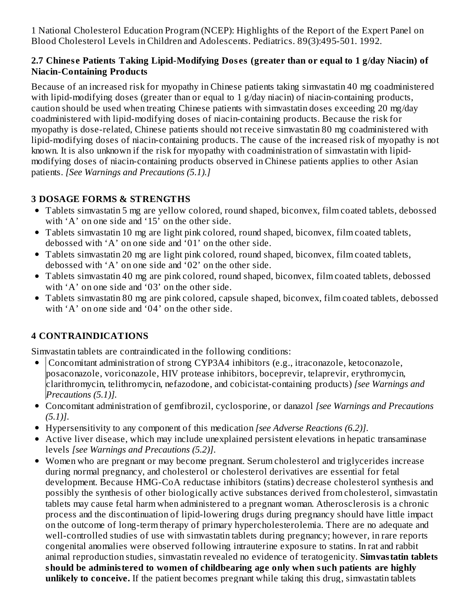1 National Cholesterol Education Program (NCEP): Highlights of the Report of the Expert Panel on Blood Cholesterol Levels in Children and Adolescents. Pediatrics. 89(3):495-501. 1992.

#### **2.7 Chines e Patients Taking Lipid-Modifying Dos es (greater than or equal to 1 g/day Niacin) of Niacin-Containing Products**

Because of an increased risk for myopathy in Chinese patients taking simvastatin 40 mg coadministered with lipid-modifying doses (greater than or equal to 1 g/day niacin) of niacin-containing products, caution should be used when treating Chinese patients with simvastatin doses exceeding 20 mg/day coadministered with lipid-modifying doses of niacin-containing products. Because the risk for myopathy is dose-related, Chinese patients should not receive simvastatin 80 mg coadministered with lipid-modifying doses of niacin-containing products. The cause of the increased risk of myopathy is not known. It is also unknown if the risk for myopathy with coadministration of simvastatin with lipidmodifying doses of niacin-containing products observed in Chinese patients applies to other Asian patients. *[See Warnings and Precautions (5.1).]*

# **3 DOSAGE FORMS & STRENGTHS**

- Tablets simvastatin 5 mg are yellow colored, round shaped, biconvex, film coated tablets, debossed with 'A' on one side and '15' on the other side.
- Tablets simvastatin 10 mg are light pink colored, round shaped, biconvex, film coated tablets, debossed with 'A' on one side and '01' on the other side.
- Tablets simvastatin 20 mg are light pink colored, round shaped, biconvex, film coated tablets, debossed with 'A' on one side and '02' on the other side.
- Tablets simvastatin 40 mg are pink colored, round shaped, biconvex, film coated tablets, debossed with 'A' on one side and '03' on the other side.
- Tablets simvastatin 80 mg are pink colored, capsule shaped, biconvex, film coated tablets, debossed with 'A' on one side and '04' on the other side.

# **4 CONTRAINDICATIONS**

Simvastatin tablets are contraindicated in the following conditions:

- Concomitant administration of strong CYP3A4 inhibitors (e.g., itraconazole, ketoconazole, posaconazole, voriconazole, HIV protease inhibitors, boceprevir, telaprevir, erythromycin, clarithromycin, telithromycin, nefazodone, and cobicistat-containing products) *[see Warnings and Precautions (5.1)].*
- Concomitant administration of gemfibrozil, cyclosporine, or danazol *[see Warnings and Precautions (5.1)]*.
- Hypersensitivity to any component of this medication *[see Adverse Reactions (6.2)]*.
- Active liver disease, which may include unexplained persistent elevations in hepatic transaminase levels *[see Warnings and Precautions (5.2)]*.
- Women who are pregnant or may become pregnant. Serum cholesterol and triglycerides increase during normal pregnancy, and cholesterol or cholesterol derivatives are essential for fetal development. Because HMG-CoA reductase inhibitors (statins) decrease cholesterol synthesis and possibly the synthesis of other biologically active substances derived from cholesterol, simvastatin tablets may cause fetal harm when administered to a pregnant woman. Atherosclerosis is a chronic process and the discontinuation of lipid-lowering drugs during pregnancy should have little impact on the outcome of long-term therapy of primary hypercholesterolemia. There are no adequate and well-controlled studies of use with simvastatin tablets during pregnancy; however, in rare reports congenital anomalies were observed following intrauterine exposure to statins. In rat and rabbit animal reproduction studies, simvastatin revealed no evidence of teratogenicity. **Simvastatin tablets should be administered to women of childbearing age only when such patients are highly unlikely to conceive.** If the patient becomes pregnant while taking this drug, simvastatin tablets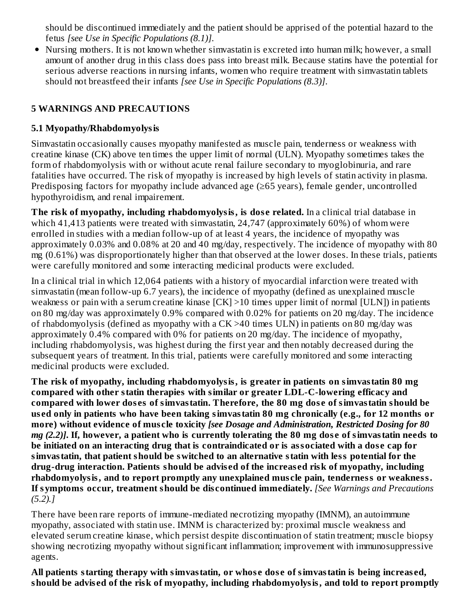should be discontinued immediately and the patient should be apprised of the potential hazard to the fetus *[see Use in Specific Populations (8.1)]*.

Nursing mothers. It is not known whether simvastatin is excreted into human milk; however, a small amount of another drug in this class does pass into breast milk. Because statins have the potential for serious adverse reactions in nursing infants, women who require treatment with simvastatin tablets should not breastfeed their infants *[see Use in Specific Populations (8.3)]*.

## **5 WARNINGS AND PRECAUTIONS**

#### **5.1 Myopathy/Rhabdomyolysis**

Simvastatin occasionally causes myopathy manifested as muscle pain, tenderness or weakness with creatine kinase (CK) above ten times the upper limit of normal (ULN). Myopathy sometimes takes the form of rhabdomyolysis with or without acute renal failure secondary to myoglobinuria, and rare fatalities have occurred. The risk of myopathy is increased by high levels of statin activity in plasma. Predisposing factors for myopathy include advanced age (≥65 years), female gender, uncontrolled hypothyroidism, and renal impairement.

**The risk of myopathy, including rhabdomyolysis, is dos e related.** In a clinical trial database in which 41,413 patients were treated with simvastatin, 24,747 (approximately 60%) of whom were enrolled in studies with a median follow-up of at least 4 years, the incidence of myopathy was approximately 0.03% and 0.08% at 20 and 40 mg/day, respectively. The incidence of myopathy with 80 mg (0.61%) was disproportionately higher than that observed at the lower doses. In these trials, patients were carefully monitored and some interacting medicinal products were excluded.

In a clinical trial in which 12,064 patients with a history of myocardial infarction were treated with simvastatin (mean follow-up 6.7 years), the incidence of myopathy (defined as unexplained muscle weakness or pain with a serum creatine kinase [CK] >10 times upper limit of normal [ULN]) in patients on 80 mg/day was approximately 0.9% compared with 0.02% for patients on 20 mg/day. The incidence of rhabdomyolysis (defined as myopathy with a CK >40 times ULN) in patients on 80 mg/day was approximately 0.4% compared with 0% for patients on 20 mg/day. The incidence of myopathy, including rhabdomyolysis, was highest during the first year and then notably decreased during the subsequent years of treatment. In this trial, patients were carefully monitored and some interacting medicinal products were excluded.

**The risk of myopathy, including rhabdomyolysis, is greater in patients on simvastatin 80 mg compared with other statin therapies with similar or greater LDL-C-lowering efficacy and compared with lower dos es of simvastatin. Therefore, the 80 mg dos e of simvastatin should be us ed only in patients who have been taking simvastatin 80 mg chronically (e.g., for 12 months or more) without evidence of mus cle toxicity** *[see Dosage and Administration, Restricted Dosing for 80* mg (2.2)]. If, however, a patient who is currently tolerating the 80 mg dose of simvastatin needs to **be initiated on an interacting drug that is contraindicated or is associated with a dos e cap for simvastatin, that patient should be switched to an alternative statin with less potential for the drug-drug interaction. Patients should be advis ed of the increas ed risk of myopathy, including rhabdomyolysis, and to report promptly any unexplained mus cle pain, tenderness or weakness. If symptoms occur, treatment should be dis continued immediately.** *[See Warnings and Precautions (5.2).]*

There have been rare reports of immune-mediated necrotizing myopathy (IMNM), an autoimmune myopathy, associated with statin use. IMNM is characterized by: proximal muscle weakness and elevated serum creatine kinase, which persist despite discontinuation of statin treatment; muscle biopsy showing necrotizing myopathy without significant inflammation; improvement with immunosuppressive agents.

**All patients starting therapy with simvastatin, or whos e dos e of simvastatin is being increas ed, should be advis ed of the risk of myopathy, including rhabdomyolysis, and told to report promptly**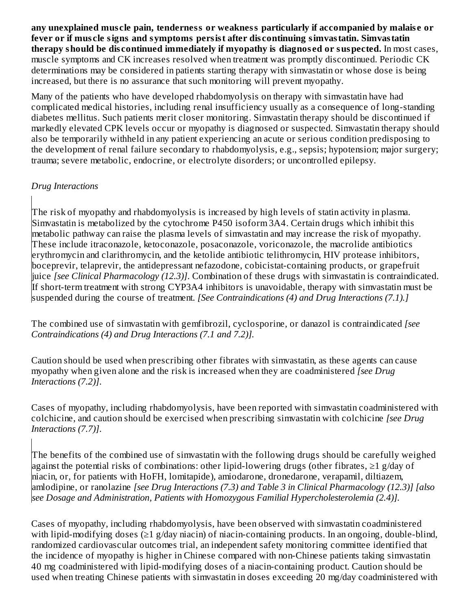**any unexplained mus cle pain, tenderness or weakness particularly if accompanied by malais e or fever or if mus cle signs and symptoms persist after dis continuing simvastatin. Simvastatin therapy should be dis continued immediately if myopathy is diagnos ed or suspected.** In most cases, muscle symptoms and CK increases resolved when treatment was promptly discontinued. Periodic CK determinations may be considered in patients starting therapy with simvastatin or whose dose is being increased, but there is no assurance that such monitoring will prevent myopathy.

Many of the patients who have developed rhabdomyolysis on therapy with simvastatin have had complicated medical histories, including renal insufficiency usually as a consequence of long-standing diabetes mellitus. Such patients merit closer monitoring. Simvastatin therapy should be discontinued if markedly elevated CPK levels occur or myopathy is diagnosed or suspected. Simvastatin therapy should also be temporarily withheld in any patient experiencing an acute or serious condition predisposing to the development of renal failure secondary to rhabdomyolysis, e.g., sepsis; hypotension; major surgery; trauma; severe metabolic, endocrine, or electrolyte disorders; or uncontrolled epilepsy.

#### *Drug Interactions*

The risk of myopathy and rhabdomyolysis is increased by high levels of statin activity in plasma. Simvastatin is metabolized by the cytochrome P450 isoform 3A4. Certain drugs which inhibit this metabolic pathway can raise the plasma levels of simvastatin and may increase the risk of myopathy. These include itraconazole, ketoconazole, posaconazole, voriconazole, the macrolide antibiotics erythromycin and clarithromycin, and the ketolide antibiotic telithromycin, HIV protease inhibitors, boceprevir, telaprevir, the antidepressant nefazodone, cobicistat-containing products, or grapefruit juice *[see Clinical Pharmacology (12.3)]*. Combination of these drugs with simvastatin is contraindicated. If short-term treatment with strong CYP3A4 inhibitors is unavoidable, therapy with simvastatin must be suspended during the course of treatment. *[See Contraindications (4) and Drug Interactions (7.1).]*

The combined use of simvastatin with gemfibrozil, cyclosporine, or danazol is contraindicated *[see Contraindications (4) and Drug Interactions (7.1 and 7.2)].*

Caution should be used when prescribing other fibrates with simvastatin, as these agents can cause myopathy when given alone and the risk is increased when they are coadministered *[see Drug Interactions (7.2)]*.

Cases of myopathy, including rhabdomyolysis, have been reported with simvastatin coadministered with colchicine, and caution should be exercised when prescribing simvastatin with colchicine *[see Drug Interactions (7.7)]*.

The benefits of the combined use of simvastatin with the following drugs should be carefully weighed against the potential risks of combinations: other lipid-lowering drugs (other fibrates, ≥1 g/day of niacin, or, for patients with HoFH, lomitapide), amiodarone, dronedarone, verapamil, diltiazem, amlodipine, or ranolazine *[see Drug Interactions (7.3) and Table 3 in Clinical Pharmacology (12.3)] [also see Dosage and Administration, Patients with Homozygous Familial Hypercholesterolemia (2.4)].*

Cases of myopathy, including rhabdomyolysis, have been observed with simvastatin coadministered with lipid-modifying doses (≥1 g/day niacin) of niacin-containing products. In an ongoing, double-blind, randomized cardiovascular outcomes trial, an independent safety monitoring committee identified that the incidence of myopathy is higher in Chinese compared with non-Chinese patients taking simvastatin 40 mg coadministered with lipid-modifying doses of a niacin-containing product. Caution should be used when treating Chinese patients with simvastatin in doses exceeding 20 mg/day coadministered with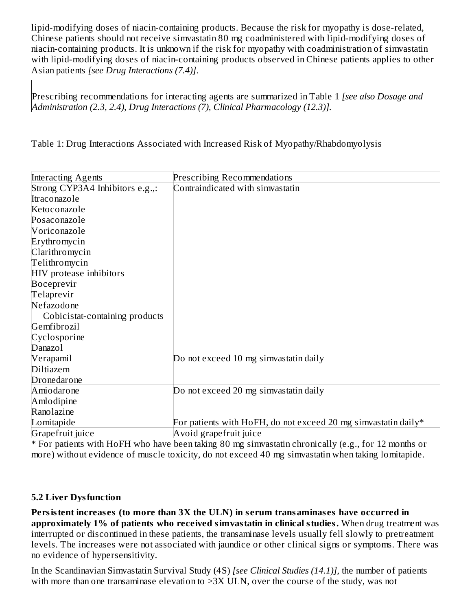lipid-modifying doses of niacin-containing products. Because the risk for myopathy is dose-related, Chinese patients should not receive simvastatin 80 mg coadministered with lipid-modifying doses of niacin-containing products. It is unknown if the risk for myopathy with coadministration of simvastatin with lipid-modifying doses of niacin-containing products observed in Chinese patients applies to other Asian patients *[see Drug Interactions (7.4)]*.

Prescribing recommendations for interacting agents are summarized in Table 1 *[see also Dosage and Administration (2.3, 2.4), Drug Interactions (7), Clinical Pharmacology (12.3)].*

Table 1: Drug Interactions Associated with Increased Risk of Myopathy/Rhabdomyolysis

| <b>Interacting Agents</b>       | <b>Prescribing Recommendations</b>                                 |
|---------------------------------|--------------------------------------------------------------------|
| Strong CYP3A4 Inhibitors e.g.,: | Contraindicated with simvastatin                                   |
| Itraconazole                    |                                                                    |
| Ketoconazole                    |                                                                    |
| Posaconazole                    |                                                                    |
| Voriconazole                    |                                                                    |
| Erythromycin                    |                                                                    |
| Clarithromycin                  |                                                                    |
| Telithromycin                   |                                                                    |
| HIV protease inhibitors         |                                                                    |
| Boceprevir                      |                                                                    |
| Telaprevir                      |                                                                    |
| Nefazodone                      |                                                                    |
| Cobicistat-containing products  |                                                                    |
| Gemfibrozil                     |                                                                    |
| Cyclosporine                    |                                                                    |
| Danazol                         |                                                                    |
| Verapamil                       | Do not exceed 10 mg simvastatin daily                              |
| Diltiazem                       |                                                                    |
| Dronedarone                     |                                                                    |
| Amiodarone                      | Do not exceed 20 mg simvastatin daily                              |
| Amlodipine                      |                                                                    |
| Ranolazine                      |                                                                    |
| Lomitapide                      | For patients with HoFH, do not exceed 20 mg simvastatin daily $^*$ |
| Grapefruit juice                | Avoid grapefruit juice                                             |

\* For patients with HoFH who have been taking 80 mg simvastatin chronically (e.g., for 12 months or more) without evidence of muscle toxicity, do not exceed 40 mg simvastatin when taking lomitapide.

#### **5.2 Liver Dysfunction**

**Persistent increas es (to more than 3X the ULN) in s erum transaminas es have occurred in approximately 1% of patients who received simvastatin in clinical studies.** When drug treatment was interrupted or discontinued in these patients, the transaminase levels usually fell slowly to pretreatment levels. The increases were not associated with jaundice or other clinical signs or symptoms. There was no evidence of hypersensitivity.

In the Scandinavian Simvastatin Survival Study (4S) *[see Clinical Studies (14.1)]*, the number of patients with more than one transaminase elevation to >3X ULN, over the course of the study, was not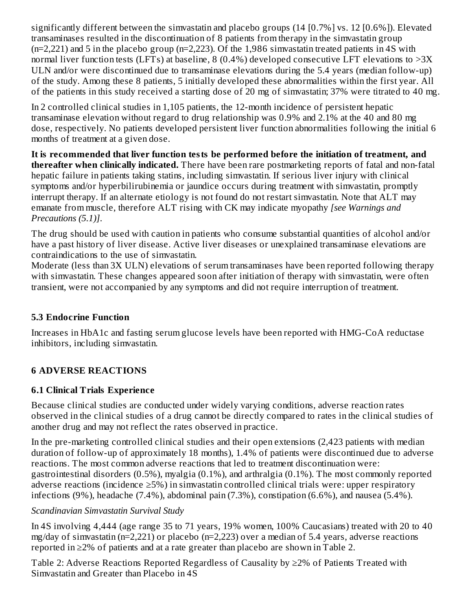significantly different between the simvastatin and placebo groups (14 [0.7%] vs. 12 [0.6%]). Elevated transaminases resulted in the discontinuation of 8 patients from therapy in the simvastatin group (n=2,221) and 5 in the placebo group (n=2,223). Of the 1,986 simvastatin treated patients in 4S with normal liver function tests (LFTs) at baseline, 8 (0.4%) developed consecutive LFT elevations to  $>3X$ ULN and/or were discontinued due to transaminase elevations during the 5.4 years (median follow-up) of the study. Among these 8 patients, 5 initially developed these abnormalities within the first year. All of the patients in this study received a starting dose of 20 mg of simvastatin; 37% were titrated to 40 mg.

In 2 controlled clinical studies in 1,105 patients, the 12-month incidence of persistent hepatic transaminase elevation without regard to drug relationship was 0.9% and 2.1% at the 40 and 80 mg dose, respectively. No patients developed persistent liver function abnormalities following the initial 6 months of treatment at a given dose.

**It is recommended that liver function tests be performed before the initiation of treatment, and thereafter when clinically indicated.** There have been rare postmarketing reports of fatal and non-fatal hepatic failure in patients taking statins, including simvastatin. If serious liver injury with clinical symptoms and/or hyperbilirubinemia or jaundice occurs during treatment with simvastatin, promptly interrupt therapy. If an alternate etiology is not found do not restart simvastatin. Note that ALT may emanate from muscle, therefore ALT rising with CK may indicate myopathy *[see Warnings and Precautions (5.1)]*.

The drug should be used with caution in patients who consume substantial quantities of alcohol and/or have a past history of liver disease. Active liver diseases or unexplained transaminase elevations are contraindications to the use of simvastatin.

Moderate (less than 3X ULN) elevations of serum transaminases have been reported following therapy with simvastatin. These changes appeared soon after initiation of therapy with simvastatin, were often transient, were not accompanied by any symptoms and did not require interruption of treatment.

## **5.3 Endocrine Function**

Increases in HbA1c and fasting serum glucose levels have been reported with HMG-CoA reductase inhibitors, including simvastatin.

# **6 ADVERSE REACTIONS**

## **6.1 Clinical Trials Experience**

Because clinical studies are conducted under widely varying conditions, adverse reaction rates observed in the clinical studies of a drug cannot be directly compared to rates in the clinical studies of another drug and may not reflect the rates observed in practice.

In the pre-marketing controlled clinical studies and their open extensions (2,423 patients with median duration of follow-up of approximately 18 months), 1.4% of patients were discontinued due to adverse reactions. The most common adverse reactions that led to treatment discontinuation were: gastrointestinal disorders (0.5%), myalgia (0.1%), and arthralgia (0.1%). The most commonly reported adverse reactions (incidence ≥5%) in simvastatin controlled clinical trials were: upper respiratory infections (9%), headache (7.4%), abdominal pain (7.3%), constipation (6.6%), and nausea (5.4%).

## *Scandinavian Simvastatin Survival Study*

In 4S involving 4,444 (age range 35 to 71 years, 19% women, 100% Caucasians) treated with 20 to 40 mg/day of simvastatin (n=2,221) or placebo (n=2,223) over a median of 5.4 years, adverse reactions reported in ≥2% of patients and at a rate greater than placebo are shown in Table 2.

Table 2: Adverse Reactions Reported Regardless of Causality by ≥2% of Patients Treated with Simvastatin and Greater than Placebo in 4S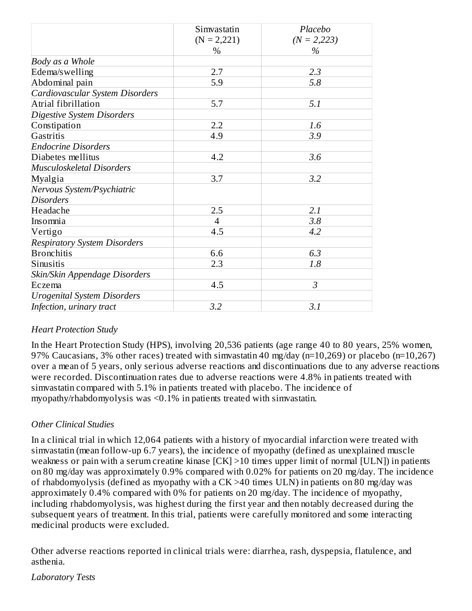|                                     | Simvastatin    | Placebo       |
|-------------------------------------|----------------|---------------|
|                                     | $(N = 2,221)$  | $(N = 2,223)$ |
|                                     | $\%$           | %             |
| Body as a Whole                     |                |               |
| Edema/swelling                      | 2.7            | 2.3           |
| Abdominal pain                      | 5.9            | 5.8           |
| Cardiovascular System Disorders     |                |               |
| Atrial fibrillation                 | 5.7            | 5.1           |
| Digestive System Disorders          |                |               |
| Constipation                        | 2.2            | 1.6           |
| Gastritis                           | 4.9            | 3.9           |
| <b>Endocrine Disorders</b>          |                |               |
| Diabetes mellitus                   | 4.2            | 3.6           |
| Musculoskeletal Disorders           |                |               |
| Myalgia                             | 3.7            | 3.2           |
| Nervous System/Psychiatric          |                |               |
| <b>Disorders</b>                    |                |               |
| Headache                            | 2.5            | 2.1           |
| Insomnia                            | $\overline{4}$ | 3.8           |
| Vertigo                             | 4.5            | 4.2           |
| <b>Respiratory System Disorders</b> |                |               |
| <b>Bronchitis</b>                   | 6.6            | 6.3           |
| Sinusitis                           | 2.3            | 1.8           |
| Skin/Skin Appendage Disorders       |                |               |
| Eczema                              | 4.5            | 3             |
| <b>Urogenital System Disorders</b>  |                |               |
| Infection, urinary tract            | 3.2            | 3.1           |

#### *Heart Protection Study*

In the Heart Protection Study (HPS), involving 20,536 patients (age range 40 to 80 years, 25% women, 97% Caucasians, 3% other races) treated with simvastatin 40 mg/day (n=10,269) or placebo (n=10,267) over a mean of 5 years, only serious adverse reactions and discontinuations due to any adverse reactions were recorded. Discontinuation rates due to adverse reactions were 4.8% in patients treated with simvastatin compared with 5.1% in patients treated with placebo. The incidence of myopathy/rhabdomyolysis was <0.1% in patients treated with simvastatin.

#### *Other Clinical Studies*

In a clinical trial in which 12,064 patients with a history of myocardial infarction were treated with simvastatin (mean follow-up 6.7 years), the incidence of myopathy (defined as unexplained muscle weakness or pain with a serum creatine kinase [CK] >10 times upper limit of normal [ULN]) in patients on 80 mg/day was approximately 0.9% compared with 0.02% for patients on 20 mg/day. The incidence of rhabdomyolysis (defined as myopathy with a CK >40 times ULN) in patients on 80 mg/day was approximately 0.4% compared with 0% for patients on 20 mg/day. The incidence of myopathy, including rhabdomyolysis, was highest during the first year and then notably decreased during the subsequent years of treatment. In this trial, patients were carefully monitored and some interacting medicinal products were excluded.

Other adverse reactions reported in clinical trials were: diarrhea, rash, dyspepsia, flatulence, and asthenia.

*Laboratory Tests*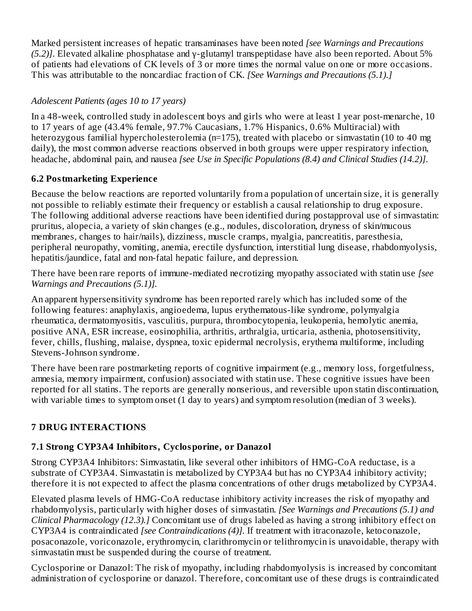Marked persistent increases of hepatic transaminases have been noted *[see Warnings and Precautions (5.2)]*. Elevated alkaline phosphatase and γ-glutamyl transpeptidase have also been reported. About 5% of patients had elevations of CK levels of 3 or more times the normal value on one or more occasions. This was attributable to the noncardiac fraction of CK. *[See Warnings and Precautions (5.1).]*

## *Adolescent Patients (ages 10 to 17 years)*

In a 48-week, controlled study in adolescent boys and girls who were at least 1 year post-menarche, 10 to 17 years of age (43.4% female, 97.7% Caucasians, 1.7% Hispanics, 0.6% Multiracial) with heterozygous familial hypercholesterolemia (n=175), treated with placebo or simvastatin (10 to 40 mg daily), the most common adverse reactions observed in both groups were upper respiratory infection, headache, abdominal pain, and nausea *[see Use in Specific Populations (8.4) and Clinical Studies (14.2)]*.

# **6.2 Postmarketing Experience**

Because the below reactions are reported voluntarily from a population of uncertain size, it is generally not possible to reliably estimate their frequency or establish a causal relationship to drug exposure. The following additional adverse reactions have been identified during postapproval use of simvastatin: pruritus, alopecia, a variety of skin changes (e.g., nodules, discoloration, dryness of skin/mucous membranes, changes to hair/nails), dizziness, muscle cramps, myalgia, pancreatitis, paresthesia, peripheral neuropathy, vomiting, anemia, erectile dysfunction, interstitial lung disease, rhabdomyolysis, hepatitis/jaundice, fatal and non-fatal hepatic failure, and depression.

There have been rare reports of immune-mediated necrotizing myopathy associated with statin use *[see Warnings and Precautions (5.1)].*

An apparent hypersensitivity syndrome has been reported rarely which has included some of the following features: anaphylaxis, angioedema, lupus erythematous-like syndrome, polymyalgia rheumatica, dermatomyositis, vasculitis, purpura, thrombocytopenia, leukopenia, hemolytic anemia, positive ANA, ESR increase, eosinophilia, arthritis, arthralgia, urticaria, asthenia, photosensitivity, fever, chills, flushing, malaise, dyspnea, toxic epidermal necrolysis, erythema multiforme, including Stevens-Johnson syndrome.

There have been rare postmarketing reports of cognitive impairment (e.g., memory loss, forgetfulness, amnesia, memory impairment, confusion) associated with statin use. These cognitive issues have been reported for all statins. The reports are generally nonserious, and reversible upon statin discontinuation, with variable times to symptom onset (1 day to years) and symptom resolution (median of 3 weeks).

# **7 DRUG INTERACTIONS**

# **7.1 Strong CYP3A4 Inhibitors, Cyclosporine, or Danazol**

Strong CYP3A4 Inhibitors: Simvastatin, like several other inhibitors of HMG-CoA reductase, is a substrate of CYP3A4. Simvastatin is metabolized by CYP3A4 but has no CYP3A4 inhibitory activity; therefore it is not expected to affect the plasma concentrations of other drugs metabolized by CYP3A4.

Elevated plasma levels of HMG-CoA reductase inhibitory activity increases the risk of myopathy and rhabdomyolysis, particularly with higher doses of simvastatin. *[See Warnings and Precautions (5.1) and Clinical Pharmacology (12.3).]* Concomitant use of drugs labeled as having a strong inhibitory effect on CYP3A4 is contraindicated *[see Contraindications (4)].* If treatment with itraconazole, ketoconazole, posaconazole, voriconazole, erythromycin, clarithromycin or telithromycin is unavoidable, therapy with simvastatin must be suspended during the course of treatment.

Cyclosporine or Danazol: The risk of myopathy, including rhabdomyolysis is increased by concomitant administration of cyclosporine or danazol. Therefore, concomitant use of these drugs is contraindicated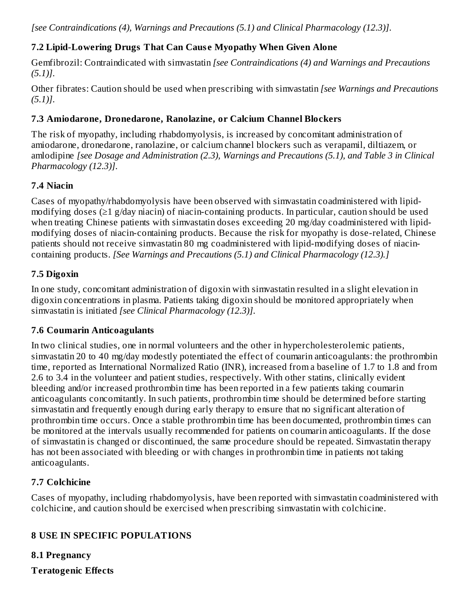*[see Contraindications (4), Warnings and Precautions (5.1) and Clinical Pharmacology (12.3)]*.

## **7.2 Lipid-Lowering Drugs That Can Caus e Myopathy When Given Alone**

Gemfibrozil: Contraindicated with simvastatin *[see Contraindications (4) and Warnings and Precautions (5.1)]*.

Other fibrates: Caution should be used when prescribing with simvastatin *[see Warnings and Precautions (5.1)]*.

#### **7.3 Amiodarone, Dronedarone, Ranolazine, or Calcium Channel Blockers**

The risk of myopathy, including rhabdomyolysis, is increased by concomitant administration of amiodarone, dronedarone, ranolazine, or calcium channel blockers such as verapamil, diltiazem, or amlodipine *[see Dosage and Administration (2.3), Warnings and Precautions (5.1), and Table 3 in Clinical Pharmacology (12.3)]*.

#### **7.4 Niacin**

Cases of myopathy/rhabdomyolysis have been observed with simvastatin coadministered with lipidmodifying doses (≥1 g/day niacin) of niacin-containing products. In particular, caution should be used when treating Chinese patients with simvastatin doses exceeding 20 mg/day coadministered with lipidmodifying doses of niacin-containing products. Because the risk for myopathy is dose-related, Chinese patients should not receive simvastatin 80 mg coadministered with lipid-modifying doses of niacincontaining products. *[See Warnings and Precautions (5.1) and Clinical Pharmacology (12.3).]*

#### **7.5 Digoxin**

In one study, concomitant administration of digoxin with simvastatin resulted in a slight elevation in digoxin concentrations in plasma. Patients taking digoxin should be monitored appropriately when simvastatin is initiated *[see Clinical Pharmacology (12.3)]*.

#### **7.6 Coumarin Anticoagulants**

In two clinical studies, one in normal volunteers and the other in hypercholesterolemic patients, simvastatin 20 to 40 mg/day modestly potentiated the effect of coumarin anticoagulants: the prothrombin time, reported as International Normalized Ratio (INR), increased from a baseline of 1.7 to 1.8 and from 2.6 to 3.4 in the volunteer and patient studies, respectively. With other statins, clinically evident bleeding and/or increased prothrombin time has been reported in a few patients taking coumarin anticoagulants concomitantly. In such patients, prothrombin time should be determined before starting simvastatin and frequently enough during early therapy to ensure that no significant alteration of prothrombin time occurs. Once a stable prothrombin time has been documented, prothrombin times can be monitored at the intervals usually recommended for patients on coumarin anticoagulants. If the dose of simvastatin is changed or discontinued, the same procedure should be repeated. Simvastatin therapy has not been associated with bleeding or with changes in prothrombin time in patients not taking anticoagulants.

#### **7.7 Colchicine**

Cases of myopathy, including rhabdomyolysis, have been reported with simvastatin coadministered with colchicine, and caution should be exercised when prescribing simvastatin with colchicine.

## **8 USE IN SPECIFIC POPULATIONS**

**8.1 Pregnancy**

**Teratogenic Effects**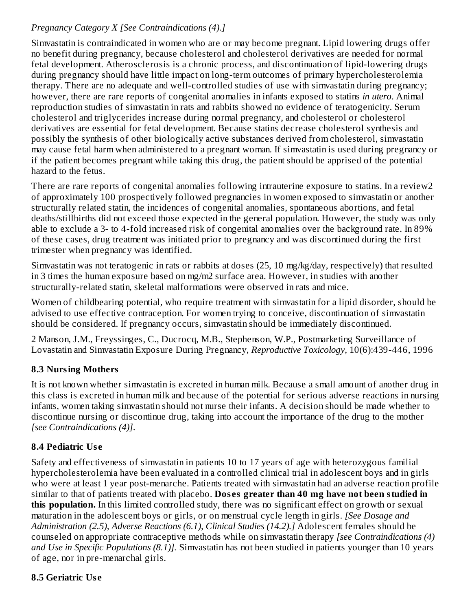## *Pregnancy Category X [See Contraindications (4).]*

Simvastatin is contraindicated in women who are or may become pregnant. Lipid lowering drugs offer no benefit during pregnancy, because cholesterol and cholesterol derivatives are needed for normal fetal development. Atherosclerosis is a chronic process, and discontinuation of lipid-lowering drugs during pregnancy should have little impact on long-term outcomes of primary hypercholesterolemia therapy. There are no adequate and well-controlled studies of use with simvastatin during pregnancy; however, there are rare reports of congenital anomalies in infants exposed to statins *in utero*. Animal reproduction studies of simvastatin in rats and rabbits showed no evidence of teratogenicity. Serum cholesterol and triglycerides increase during normal pregnancy, and cholesterol or cholesterol derivatives are essential for fetal development. Because statins decrease cholesterol synthesis and possibly the synthesis of other biologically active substances derived from cholesterol, simvastatin may cause fetal harm when administered to a pregnant woman. If simvastatin is used during pregnancy or if the patient becomes pregnant while taking this drug, the patient should be apprised of the potential hazard to the fetus.

There are rare reports of congenital anomalies following intrauterine exposure to statins. In a review2 of approximately 100 prospectively followed pregnancies in women exposed to simvastatin or another structurally related statin, the incidences of congenital anomalies, spontaneous abortions, and fetal deaths/stillbirths did not exceed those expected in the general population. However, the study was only able to exclude a 3- to 4-fold increased risk of congenital anomalies over the background rate. In 89% of these cases, drug treatment was initiated prior to pregnancy and was discontinued during the first trimester when pregnancy was identified.

Simvastatin was not teratogenic in rats or rabbits at doses (25, 10 mg/kg/day, respectively) that resulted in 3 times the human exposure based on mg/m2 surface area. However, in studies with another structurally-related statin, skeletal malformations were observed in rats and mice.

Women of childbearing potential, who require treatment with simvastatin for a lipid disorder, should be advised to use effective contraception. For women trying to conceive, discontinuation of simvastatin should be considered. If pregnancy occurs, simvastatin should be immediately discontinued.

2 Manson, J.M., Freyssinges, C., Ducrocq, M.B., Stephenson, W.P., Postmarketing Surveillance of Lovastatin and Simvastatin Exposure During Pregnancy, *Reproductive Toxicology,* 10(6):439-446, 1996

## **8.3 Nursing Mothers**

It is not known whether simvastatin is excreted in human milk. Because a small amount of another drug in this class is excreted in human milk and because of the potential for serious adverse reactions in nursing infants, women taking simvastatin should not nurse their infants. A decision should be made whether to discontinue nursing or discontinue drug, taking into account the importance of the drug to the mother *[see Contraindications (4)]*.

# **8.4 Pediatric Us e**

Safety and effectiveness of simvastatin in patients 10 to 17 years of age with heterozygous familial hypercholesterolemia have been evaluated in a controlled clinical trial in adolescent boys and in girls who were at least 1 year post-menarche. Patients treated with simvastatin had an adverse reaction profile similar to that of patients treated with placebo. **Dos es greater than 40 mg have not been studied in this population.** In this limited controlled study, there was no significant effect on growth or sexual maturation in the adolescent boys or girls, or on menstrual cycle length in girls. *[See Dosage and Administration (2.5), Adverse Reactions (6.1), Clinical Studies (14.2).]* Adolescent females should be counseled on appropriate contraceptive methods while on simvastatin therapy *[see Contraindications (4) and Use in Specific Populations (8.1)].* Simvastatin has not been studied in patients younger than 10 years of age, nor in pre-menarchal girls.

## **8.5 Geriatric Us e**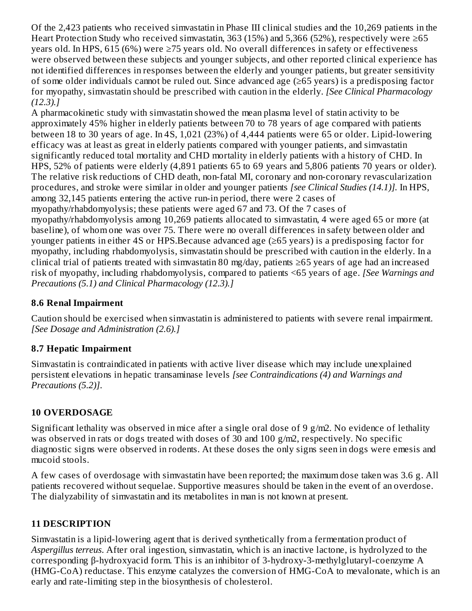Of the 2,423 patients who received simvastatin in Phase III clinical studies and the 10,269 patients in the Heart Protection Study who received simvastatin, 363 (15%) and 5,366 (52%), respectively were ≥65 years old. In HPS, 615 (6%) were ≥75 years old. No overall differences in safety or effectiveness were observed between these subjects and younger subjects, and other reported clinical experience has not identified differences in responses between the elderly and younger patients, but greater sensitivity of some older individuals cannot be ruled out. Since advanced age (≥65 years) is a predisposing factor for myopathy, simvastatin should be prescribed with caution in the elderly. *[See Clinical Pharmacology (12.3).]*

A pharmacokinetic study with simvastatin showed the mean plasma level of statin activity to be approximately 45% higher in elderly patients between 70 to 78 years of age compared with patients between 18 to 30 years of age. In 4S, 1,021 (23%) of 4,444 patients were 65 or older. Lipid-lowering efficacy was at least as great in elderly patients compared with younger patients, and simvastatin significantly reduced total mortality and CHD mortality in elderly patients with a history of CHD. In HPS, 52% of patients were elderly (4,891 patients 65 to 69 years and 5,806 patients 70 years or older). The relative risk reductions of CHD death, non-fatal MI, coronary and non-coronary revascularization procedures, and stroke were similar in older and younger patients *[see Clinical Studies (14.1)].* In HPS, among 32,145 patients entering the active run-in period, there were 2 cases of myopathy/rhabdomyolysis; these patients were aged 67 and 73. Of the 7 cases of myopathy/rhabdomyolysis among 10,269 patients allocated to simvastatin, 4 were aged 65 or more (at baseline), of whom one was over 75. There were no overall differences in safety between older and younger patients in either 4S or HPS.Because advanced age (≥65 years) is a predisposing factor for myopathy, including rhabdomyolysis, simvastatin should be prescribed with caution in the elderly. In a clinical trial of patients treated with simvastatin 80 mg/day, patients ≥65 years of age had an increased risk of myopathy, including rhabdomyolysis, compared to patients <65 years of age. *[See Warnings and Precautions (5.1) and Clinical Pharmacology (12.3).]*

## **8.6 Renal Impairment**

Caution should be exercised when simvastatin is administered to patients with severe renal impairment. *[See Dosage and Administration (2.6).]*

## **8.7 Hepatic Impairment**

Simvastatin is contraindicated in patients with active liver disease which may include unexplained persistent elevations in hepatic transaminase levels *[see Contraindications (4) and Warnings and Precautions (5.2)]*.

## **10 OVERDOSAGE**

Significant lethality was observed in mice after a single oral dose of 9 g/m2. No evidence of lethality was observed in rats or dogs treated with doses of 30 and 100 g/m2, respectively. No specific diagnostic signs were observed in rodents. At these doses the only signs seen in dogs were emesis and mucoid stools.

A few cases of overdosage with simvastatin have been reported; the maximum dose taken was 3.6 g. All patients recovered without sequelae. Supportive measures should be taken in the event of an overdose. The dialyzability of simvastatin and its metabolites in man is not known at present.

## **11 DESCRIPTION**

Simvastatin is a lipid-lowering agent that is derived synthetically from a fermentation product of *Aspergillus terreus*. After oral ingestion, simvastatin, which is an inactive lactone, is hydrolyzed to the corresponding β-hydroxyacid form. This is an inhibitor of 3-hydroxy-3-methylglutaryl-coenzyme A (HMG-CoA) reductase. This enzyme catalyzes the conversion of HMG-CoA to mevalonate, which is an early and rate-limiting step in the biosynthesis of cholesterol.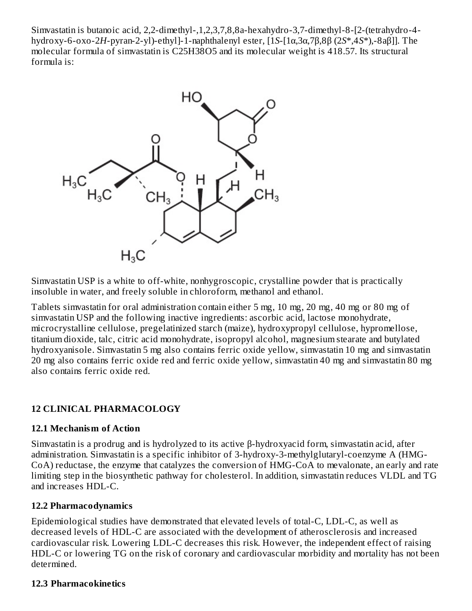Simvastatin is butanoic acid, 2,2-dimethyl-,1,2,3,7,8,8a-hexahydro-3,7-dimethyl-8-[2-(tetrahydro-4 hydroxy-6-oxo-2*H*-pyran-2-yl)-ethyl]-1-naphthalenyl ester, [1*S*-[1α,3α,7β,8β (2*S*\*,4*S*\*),-8aβ]]. The molecular formula of simvastatin is C25H38O5 and its molecular weight is 418.57. Its structural formula is:



Simvastatin USP is a white to off-white, nonhygroscopic, crystalline powder that is practically insoluble in water, and freely soluble in chloroform, methanol and ethanol.

Tablets simvastatin for oral administration contain either 5 mg, 10 mg, 20 mg, 40 mg or 80 mg of simvastatin USP and the following inactive ingredients: ascorbic acid, lactose monohydrate, microcrystalline cellulose, pregelatinized starch (maize), hydroxypropyl cellulose, hypromellose, titanium dioxide, talc, citric acid monohydrate, isopropyl alcohol, magnesium stearate and butylated hydroxyanisole. Simvastatin 5 mg also contains ferric oxide yellow, simvastatin 10 mg and simvastatin 20 mg also contains ferric oxide red and ferric oxide yellow, simvastatin 40 mg and simvastatin 80 mg also contains ferric oxide red.

#### **12 CLINICAL PHARMACOLOGY**

#### **12.1 Mechanism of Action**

Simvastatin is a prodrug and is hydrolyzed to its active β-hydroxyacid form, simvastatin acid, after administration. Simvastatin is a specific inhibitor of 3-hydroxy-3-methylglutaryl-coenzyme A (HMG-CoA) reductase, the enzyme that catalyzes the conversion of HMG-CoA to mevalonate, an early and rate limiting step in the biosynthetic pathway for cholesterol. In addition, simvastatin reduces VLDL and TG and increases HDL-C.

#### **12.2 Pharmacodynamics**

Epidemiological studies have demonstrated that elevated levels of total-C, LDL-C, as well as decreased levels of HDL-C are associated with the development of atherosclerosis and increased cardiovascular risk. Lowering LDL-C decreases this risk. However, the independent effect of raising HDL-C or lowering TG on the risk of coronary and cardiovascular morbidity and mortality has not been determined.

#### **12.3 Pharmacokinetics**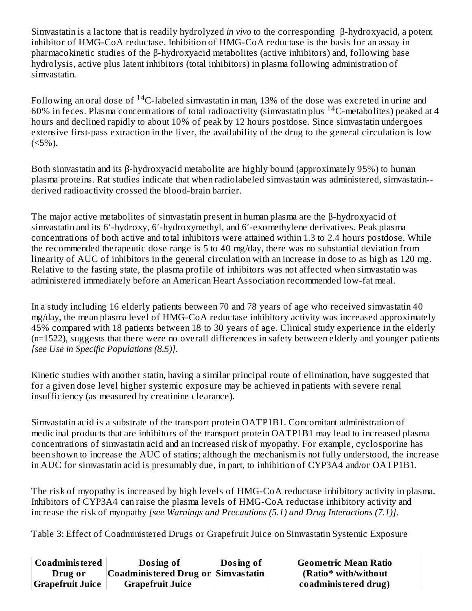Simvastatin is a lactone that is readily hydrolyzed *in vivo* to the corresponding β-hydroxyacid, a potent inhibitor of HMG-CoA reductase. Inhibition of HMG-CoA reductase is the basis for an assay in pharmacokinetic studies of the β-hydroxyacid metabolites (active inhibitors) and, following base hydrolysis, active plus latent inhibitors (total inhibitors) in plasma following administration of simvastatin.

Following an oral dose of  $\rm ^{14}C$ -labeled simvastatin in man, 13% of the dose was excreted in urine and 60% in feces. Plasma concentrations of total radioactivity (simvastatin plus  $^{14}$ C-metabolites) peaked at 4 hours and declined rapidly to about 10% of peak by 12 hours postdose. Since simvastatin undergoes extensive first-pass extraction in the liver, the availability of the drug to the general circulation is low  $(<5\%)$ .

Both simvastatin and its β-hydroxyacid metabolite are highly bound (approximately 95%) to human plasma proteins. Rat studies indicate that when radiolabeled simvastatin was administered, simvastatin- derived radioactivity crossed the blood-brain barrier.

The major active metabolites of simvastatin present in human plasma are the β-hydroxyacid of simvastatin and its 6′-hydroxy, 6′-hydroxymethyl, and 6′-exomethylene derivatives. Peak plasma concentrations of both active and total inhibitors were attained within 1.3 to 2.4 hours postdose. While the recommended therapeutic dose range is 5 to 40 mg/day, there was no substantial deviation from linearity of AUC of inhibitors in the general circulation with an increase in dose to as high as 120 mg. Relative to the fasting state, the plasma profile of inhibitors was not affected when simvastatin was administered immediately before an American Heart Association recommended low-fat meal.

In a study including 16 elderly patients between 70 and 78 years of age who received simvastatin 40 mg/day, the mean plasma level of HMG-CoA reductase inhibitory activity was increased approximately 45% compared with 18 patients between 18 to 30 years of age. Clinical study experience in the elderly (n=1522), suggests that there were no overall differences in safety between elderly and younger patients *[see Use in Specific Populations (8.5)]*.

Kinetic studies with another statin, having a similar principal route of elimination, have suggested that for a given dose level higher systemic exposure may be achieved in patients with severe renal insufficiency (as measured by creatinine clearance).

Simvastatin acid is a substrate of the transport protein OATP1B1. Concomitant administration of medicinal products that are inhibitors of the transport protein OATP1B1 may lead to increased plasma concentrations of simvastatin acid and an increased risk of myopathy. For example, cyclosporine has been shown to increase the AUC of statins; although the mechanism is not fully understood, the increase in AUC for simvastatin acid is presumably due, in part, to inhibition of CYP3A4 and/or OATP1B1.

The risk of myopathy is increased by high levels of HMG-CoA reductase inhibitory activity in plasma. Inhibitors of CYP3A4 can raise the plasma levels of HMG-CoA reductase inhibitory activity and increase the risk of myopathy *[see Warnings and Precautions (5.1) and Drug Interactions (7.1)]*.

Table 3: Effect of Coadministered Drugs or Grapefruit Juice on Simvastatin Systemic Exposure

| <b>Coadministered</b> | Dosing of                            | Dosing of | <b>Geometric Mean Ratio</b> |
|-----------------------|--------------------------------------|-----------|-----------------------------|
| Drug or               | Coadministered Drug or   Simvastatin |           | (Ratio* with/without)       |
| Grapefruit Juice      | <b>Grapefruit Juice</b>              |           | coadministered drug)        |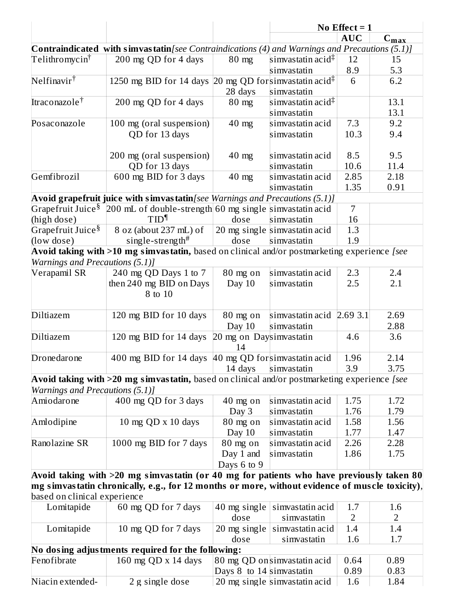|                                     |                                                                                                         |                          | No Effect $= 1$               |                |                  |
|-------------------------------------|---------------------------------------------------------------------------------------------------------|--------------------------|-------------------------------|----------------|------------------|
|                                     |                                                                                                         |                          |                               | <b>AUC</b>     | $C_{\text{max}}$ |
|                                     | <b>Contraindicated with simvastatin</b> [see Contraindications (4) and Warnings and Precautions (5.1)]  |                          |                               |                |                  |
| Telithromycin <sup>†</sup>          | 200 mg QD for 4 days                                                                                    | $80$ mg                  | simvastatin acid $\ddagger$   | 12             | 15               |
|                                     |                                                                                                         |                          | simvastatin                   | 8.9            | <u>5.3</u>       |
| $N$ elfinavir <sup>†</sup>          | 1250 mg BID for 14 days 20 mg QD for simvastatin acid <sup><math>\ddagger</math></sup>                  |                          |                               | 6              | 6.2              |
|                                     |                                                                                                         | 28 days                  | simvastatin                   |                |                  |
| Itraconazole <sup>†</sup>           | 200 mg QD for 4 days                                                                                    | $80$ mg                  | simvastatin acid <sup>‡</sup> |                | 13.1             |
|                                     |                                                                                                         |                          | simvastatin                   |                | 13.1             |
| Posaconazole                        | 100 mg (oral suspension)                                                                                | $40$ mg                  | simvastatin acid              | 7.3            | 9.2              |
|                                     | QD for 13 days                                                                                          |                          | simvastatin                   | 10.3           | 9.4              |
|                                     |                                                                                                         |                          |                               |                |                  |
|                                     | 200 mg (oral suspension)                                                                                | $40$ mg                  | simvastatin acid              | 8.5            | 9.5              |
|                                     | QD for 13 days                                                                                          |                          | simvastatin                   | 10.6           | 11.4             |
| Gemfibrozil                         |                                                                                                         |                          |                               | 2.85           | 2.18             |
|                                     | 600 mg BID for 3 days                                                                                   | $40$ mg                  | simvastatin acid              |                |                  |
|                                     |                                                                                                         |                          | simvastatin                   | 1.35           | 0.91             |
|                                     | Avoid grapefruit juice with simvastatin [see Warnings and Precautions (5.1)]                            |                          |                               |                |                  |
|                                     | Grapefruit Juice $^{\S}$ 200 mL of double-strength 60 mg single simvastatin acid                        |                          |                               | $\overline{7}$ |                  |
| (high dose)                         | TID <sup>1</sup>                                                                                        | dose                     | simvastatin                   | 16             |                  |
| $\rm Grape$ fruit Juice $\rm ^{\$}$ | 8 oz (about 237 mL) of                                                                                  |                          | 20 mg single simvastatin acid | 1.3            |                  |
| (low dose)                          | single-strength#                                                                                        | dose                     | simvastatin                   | 1.9            |                  |
|                                     | Avoid taking with >10 mg simvastatin, based on clinical and/or postmarketing experience [see            |                          |                               |                |                  |
| Warnings and Precautions (5.1)]     |                                                                                                         |                          |                               |                |                  |
| Verapamil SR                        | 240 mg QD Days 1 to 7                                                                                   | 80 mg on                 | simvastatin acid              | 2.3            | 2.4              |
|                                     | then 240 mg BID on Days                                                                                 | Day 10                   | simvastatin                   | 2.5            | 2.1              |
|                                     | 8 to 10                                                                                                 |                          |                               |                |                  |
|                                     |                                                                                                         |                          |                               |                |                  |
| Diltiazem                           | 120 mg BID for 10 days                                                                                  | $80$ mg on               | simvastatin acid 2.69 3.1     |                | 2.69             |
|                                     |                                                                                                         | Day 10                   | simvastatin                   |                | 2.88             |
| Diltiazem                           | 120 mg BID for 14 days                                                                                  | 20 mg on Daysimvastatin  |                               | 4.6            | 3.6              |
|                                     |                                                                                                         | 14                       |                               |                |                  |
| Dronedarone                         | 400 mg BID for 14 days                                                                                  |                          | 40 mg QD forsimvastatin acid  | 1.96           | 2.14             |
|                                     |                                                                                                         |                          | 14 days simvastatin           | 3.9            | 3.75             |
|                                     | Avoid taking with >20 mg simvastatin, based on clinical and/or postmarketing experience [see            |                          |                               |                |                  |
| Warnings and Precautions (5.1)]     |                                                                                                         |                          |                               |                |                  |
| Amiodarone                          | 400 mg QD for 3 days                                                                                    | $40$ mg on               | simvastatin acid              | 1.75           | 1.72             |
|                                     |                                                                                                         | Day 3                    | simvastatin                   | 1.76           | 1.79             |
| Amlodipine                          | 10 mg $QD \times 10$ days                                                                               | 80 mg on                 | simvastatin acid              | 1.58           | 1.56             |
|                                     |                                                                                                         | Day 10                   | simvastatin                   | 1.77           | 1.47             |
| Ranolazine SR                       | 1000 mg BID for 7 days                                                                                  | 80 mg on                 | simvastatin acid              | 2.26           | 2.28             |
|                                     |                                                                                                         | Day 1 and                | simvastatin                   | 1.86           | 1.75             |
|                                     |                                                                                                         | Days 6 to 9              |                               |                |                  |
|                                     |                                                                                                         |                          |                               |                |                  |
|                                     | Avoid taking with >20 mg simvastatin (or 40 mg for patients who have previously taken 80 $\,$           |                          |                               |                |                  |
|                                     | ${\bf m}$ g simvastatin chronically, e.g., for 12 months or more, without evidence of muscle toxicity), |                          |                               |                |                  |
| based on clinical experience        |                                                                                                         |                          |                               |                |                  |
| Lomitapide                          | 60 mg QD for 7 days                                                                                     | 40 mg single             | simvastatin acid              | 1.7            | 1.6              |
|                                     |                                                                                                         | dose                     | simvastatin                   | 2              | 2                |
| Lomitapide                          | 10 mg QD for 7 days                                                                                     |                          | 20 mg single simvastatin acid | 1.4            | 1.4              |
|                                     |                                                                                                         | dose                     | simvastatin                   | 1.6            | 1.7              |
|                                     | No dosing adjustments required for the following:                                                       |                          |                               |                |                  |
| Fenofibrate                         | 160 mg QD x 14 days                                                                                     |                          | 80 mg QD on simvastatin acid  | 0.64           | 0.89             |
|                                     |                                                                                                         | Days 8 to 14 simvastatin |                               | 0.89           | 0.83             |
| Niacin extended-                    | 2 g single dose                                                                                         |                          | 20 mg single simvastatin acid | 1.6            | 1.84             |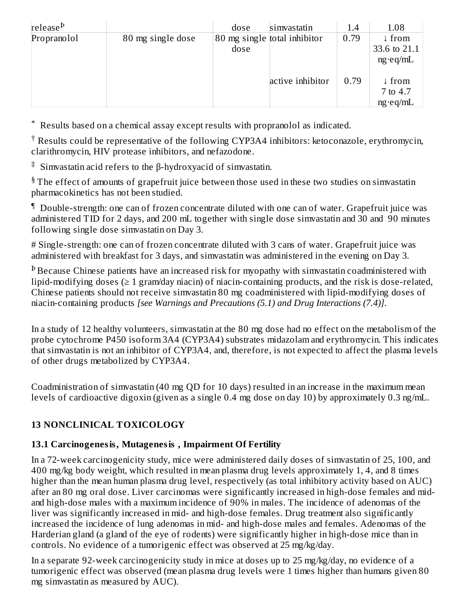| release <sup>b</sup> |                   | dose | simvastatin                  | 1.4  | 1.08                                              |
|----------------------|-------------------|------|------------------------------|------|---------------------------------------------------|
| Propranolol          | 80 mg single dose | dose | 80 mg single total inhibitor | 0.79 | ↓ from<br>33.6 to 21.1<br>$ng \cdot eq/mL$        |
|                      |                   |      | active inhibitor             | 0.79 | $\downarrow$ from<br>7 to 4.7<br>$ng \cdot eq/mL$ |

Results based on a chemical assay except results with propranolol as indicated. \*

 $^\dagger$  Results could be representative of the following CYP3A4 inhibitors: ketoconazole, erythromycin, clarithromycin, HIV protease inhibitors, and nefazodone.

 $\ddagger$  Simvastatin acid refers to the β-hydroxyacid of simvastatin.

 $§$  The effect of amounts of grapefruit juice between those used in these two studies on simvastatin pharmacokinetics has not been studied.

Double-strength: one can of frozen concentrate diluted with one can of water. Grapefruit juice was ¶ administered TID for 2 days, and 200 mL together with single dose simvastatin and 30 and 90 minutes following single dose simvastatin on Day 3.

# Single-strength: one can of frozen concentrate diluted with 3 cans of water. Grapefruit juice was administered with breakfast for 3 days, and simvastatin was administered in the evening on Day 3.

 $\rm ^b$  Because Chinese patients have an increased risk for myopathy with simvastatin coadministered with lipid-modifying doses (≥ 1 gram/day niacin) of niacin-containing products, and the risk is dose-related, Chinese patients should not receive simvastatin 80 mg coadministered with lipid-modifying doses of niacin-containing products *[see Warnings and Precautions (5.1) and Drug Interactions (7.4)]*.

In a study of 12 healthy volunteers, simvastatin at the 80 mg dose had no effect on the metabolism of the probe cytochrome P450 isoform 3A4 (CYP3A4) substrates midazolam and erythromycin. This indicates that simvastatin is not an inhibitor of  $\angle$  CYP3A4, and, therefore, is not expected to affect the plasma levels of other drugs metabolized by CYP3A4.

Coadministration of simvastatin (40 mg QD for 10 days) resulted in an increase in the maximum mean levels of cardioactive digoxin (given as a single 0.4 mg dose on day 10) by approximately 0.3 ng/mL.

# **13 NONCLINICAL TOXICOLOGY**

## **13.1 Carcinogenesis, Mutagenesis , Impairment Of Fertility**

In a 72-week carcinogenicity study, mice were administered daily doses of simvastatin of 25, 100, and 400 mg/kg body weight, which resulted in mean plasma drug levels approximately 1, 4, and 8 times higher than the mean human plasma drug level, respectively (as total inhibitory activity based on AUC) after an 80 mg oral dose. Liver carcinomas were significantly increased in high-dose females and midand high-dose males with a maximum incidence of 90% in males. The incidence of adenomas of the liver was significantly increased in mid- and high-dose females. Drug treatment also significantly increased the incidence of lung adenomas in mid- and high-dose males and females. Adenomas of the Harderian gland (a gland of the eye of rodents) were significantly higher in high-dose mice than in controls. No evidence of a tumorigenic effect was observed at 25 mg/kg/day.

In a separate 92-week carcinogenicity study in mice at doses up to 25 mg/kg/day, no evidence of a tumorigenic effect was observed (mean plasma drug levels were 1 times higher than humans given 80 mg simvastatin as measured by AUC).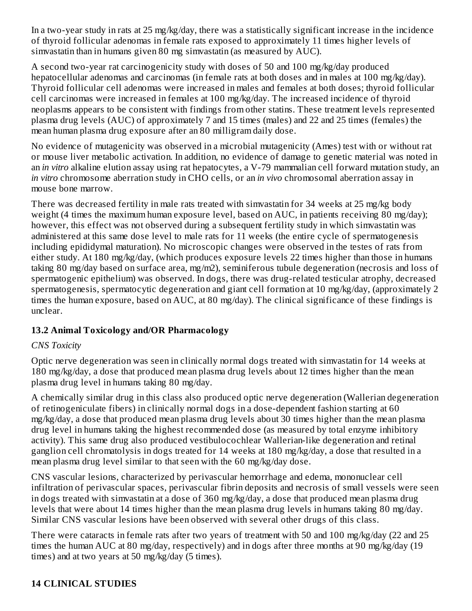In a two-year study in rats at 25 mg/kg/day, there was a statistically significant increase in the incidence of thyroid follicular adenomas in female rats exposed to approximately 11 times higher levels of simvastatin than in humans given 80 mg simvastatin (as measured by AUC).

A second two-year rat carcinogenicity study with doses of 50 and 100 mg/kg/day produced hepatocellular adenomas and carcinomas (in female rats at both doses and in males at 100 mg/kg/day). Thyroid follicular cell adenomas were increased in males and females at both doses; thyroid follicular cell carcinomas were increased in females at 100 mg/kg/day. The increased incidence of thyroid neoplasms appears to be consistent with findings from other statins. These treatment levels represented plasma drug levels (AUC) of approximately 7 and 15 times (males) and 22 and 25 times (females) the mean human plasma drug exposure after an 80 milligram daily dose.

No evidence of mutagenicity was observed in a microbial mutagenicity (Ames) test with or without rat or mouse liver metabolic activation. In addition, no evidence of damage to genetic material was noted in an *in vitro* alkaline elution assay using rat hepatocytes, a V-79 mammalian cell forward mutation study, an *in vitro* chromosome aberration study in CHO cells, or an *in vivo* chromosomal aberration assay in mouse bone marrow.

There was decreased fertility in male rats treated with simvastatin for 34 weeks at 25 mg/kg body weight (4 times the maximum human exposure level, based on AUC, in patients receiving 80 mg/day); however, this effect was not observed during a subsequent fertility study in which simvastatin was administered at this same dose level to male rats for 11 weeks (the entire cycle of spermatogenesis including epididymal maturation). No microscopic changes were observed in the testes of rats from either study. At 180 mg/kg/day, (which produces exposure levels 22 times higher than those in humans taking 80 mg/day based on surface area, mg/m2), seminiferous tubule degeneration (necrosis and loss of spermatogenic epithelium) was observed. In dogs, there was drug-related testicular atrophy, decreased spermatogenesis, spermatocytic degeneration and giant cell formation at 10 mg/kg/day, (approximately 2 times the human exposure, based on AUC, at 80 mg/day). The clinical significance of these findings is unclear.

## **13.2 Animal Toxicology and/OR Pharmacology**

## *CNS Toxicity*

Optic nerve degeneration was seen in clinically normal dogs treated with simvastatin for 14 weeks at 180 mg/kg/day, a dose that produced mean plasma drug levels about 12 times higher than the mean plasma drug level in humans taking 80 mg/day.

A chemically similar drug in this class also produced optic nerve degeneration (Wallerian degeneration of retinogeniculate fibers) in clinically normal dogs in a dose-dependent fashion starting at 60 mg/kg/day, a dose that produced mean plasma drug levels about 30 times higher than the mean plasma drug level in humans taking the highest recommended dose (as measured by total enzyme inhibitory activity). This same drug also produced vestibulocochlear Wallerian-like degeneration and retinal ganglion cell chromatolysis in dogs treated for 14 weeks at 180 mg/kg/day, a dose that resulted in a mean plasma drug level similar to that seen with the 60 mg/kg/day dose.

CNS vascular lesions, characterized by perivascular hemorrhage and edema, mononuclear cell infiltration of perivascular spaces, perivascular fibrin deposits and necrosis of small vessels were seen in dogs treated with simvastatin at a dose of 360 mg/kg/day, a dose that produced mean plasma drug levels that were about 14 times higher than the mean plasma drug levels in humans taking 80 mg/day. Similar CNS vascular lesions have been observed with several other drugs of this class.

There were cataracts in female rats after two years of treatment with 50 and 100 mg/kg/day (22 and 25 times the human AUC at 80 mg/day, respectively) and in dogs after three months at 90 mg/kg/day (19 times) and at two years at 50 mg/kg/day (5 times).

# **14 CLINICAL STUDIES**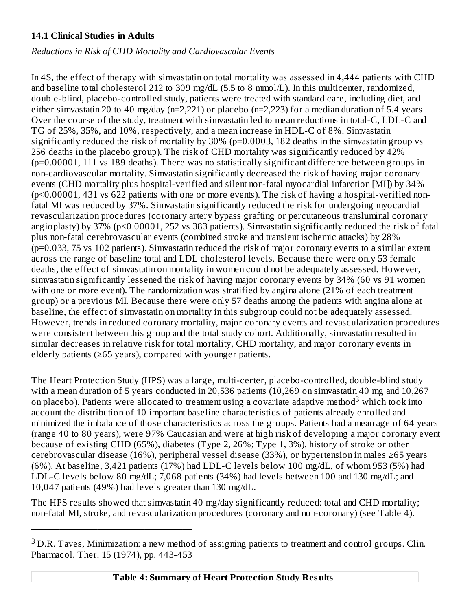#### **14.1 Clinical Studies in Adults**

*Reductions in Risk of CHD Mortality and Cardiovascular Events*

In 4S, the effect of therapy with simvastatin on total mortality was assessed in 4,444 patients with CHD and baseline total cholesterol 212 to 309 mg/dL (5.5 to 8 mmol/L). In this multicenter, randomized, double-blind, placebo-controlled study, patients were treated with standard care, including diet, and either simvastatin 20 to 40 mg/day (n=2,221) or placebo (n=2,223) for a median duration of 5.4 years. Over the course of the study, treatment with simvastatin led to mean reductions in total-C, LDL-C and TG of 25%, 35%, and 10%, respectively, and a mean increase in HDL-C of 8%. Simvastatin significantly reduced the risk of mortality by 30% (p=0.0003, 182 deaths in the simvastatin group vs 256 deaths in the placebo group). The risk of CHD mortality was significantly reduced by 42% (p=0.00001, 111 vs 189 deaths). There was no statistically significant difference between groups in non-cardiovascular mortality. Simvastatin significantly decreased the risk of having major coronary events (CHD mortality plus hospital-verified and silent non-fatal myocardial infarction [MI]) by 34% (p<0.00001, 431 vs 622 patients with one or more events). The risk of having a hospital-verified nonfatal MI was reduced by 37%. Simvastatin significantly reduced the risk for undergoing myocardial revascularization procedures (coronary artery bypass grafting or percutaneous transluminal coronary angioplasty) by 37% (p<0.00001, 252 vs 383 patients). Simvastatin significantly reduced the risk of fatal plus non-fatal cerebrovascular events (combined stroke and transient ischemic attacks) by 28% (p=0.033, 75 vs 102 patients). Simvastatin reduced the risk of major coronary events to a similar extent across the range of baseline total and LDL cholesterol levels. Because there were only 53 female deaths, the effect of simvastatin on mortality in women could not be adequately assessed. However, simvastatin significantly lessened the risk of having major coronary events by 34% (60 vs 91 women with one or more event). The randomization was stratified by angina alone (21% of each treatment group) or a previous MI. Because there were only 57 deaths among the patients with angina alone at baseline, the effect of simvastatin on mortality in this subgroup could not be adequately assessed. However, trends in reduced coronary mortality, major coronary events and revascularization procedures were consistent between this group and the total study cohort. Additionally, simvastatin resulted in similar decreases in relative risk for total mortality, CHD mortality, and major coronary events in elderly patients (≥65 years), compared with younger patients.

The Heart Protection Study (HPS) was a large, multi-center, placebo-controlled, double-blind study with a mean duration of 5 years conducted in 20,536 patients (10,269 on simvastatin 40 mg and 10,267 on placebo). Patients were allocated to treatment using a covariate adaptive method<sup>3</sup> which took into account the distribution of 10 important baseline characteristics of patients already enrolled and minimized the imbalance of those characteristics across the groups. Patients had a mean age of 64 years (range 40 to 80 years), were 97% Caucasian and were at high risk of developing a major coronary event because of existing CHD (65%), diabetes (Type 2, 26%; Type 1, 3%), history of stroke or other cerebrovascular disease (16%), peripheral vessel disease (33%), or hypertension in males ≥65 years (6%). At baseline, 3,421 patients (17%) had LDL-C levels below 100 mg/dL, of whom 953 (5%) had LDL-C levels below 80 mg/dL; 7,068 patients (34%) had levels between 100 and 130 mg/dL; and 10,047 patients (49%) had levels greater than 130 mg/dL.

The HPS results showed that simvastatin 40 mg/day significantly reduced: total and CHD mortality; non-fatal MI, stroke, and revascularization procedures (coronary and non-coronary) (see Table 4).

—————————————————

 $3$  D.R. Taves, Minimization: a new method of assigning patients to treatment and control groups. Clin. Pharmacol. Ther. 15 (1974), pp. 443-453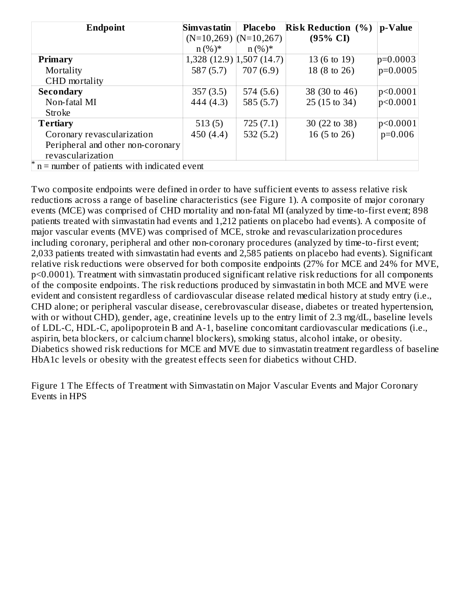| <b>Endpoint</b>                               | Simvas tatin                   | Placebo   | <b>Risk Reduction (%)</b> | p-Value      |
|-----------------------------------------------|--------------------------------|-----------|---------------------------|--------------|
|                                               | $(N=10,269)$ $(N=10,267)$      |           | $(95\% \text{ CI})$       |              |
|                                               | $n (%)^*$                      | $n (%)^*$ |                           |              |
| Primary                                       | $1,328$ (12.9) $ 1,507$ (14.7) |           | 13 (6 to 19)              | $p=0.0003$   |
| Mortality                                     | 587(5.7)                       | 707(6.9)  | 18 (8 to 26)              | $ p=0.0005 $ |
| CHD mortality                                 |                                |           |                           |              |
| <b>Secondary</b>                              | 357(3.5)                       | 574(5.6)  | 38 (30 to 46)             | p<0.0001     |
| Non-fatal MI                                  | 444 (4.3)                      | 585(5.7)  | 25 (15 to 34)             | p<0.0001     |
| Stroke                                        |                                |           |                           |              |
| <b>Tertiary</b>                               | 513(5)                         | 725(7.1)  | 30 (22 to 38)             | p<0.0001     |
| Coronary revascularization                    | 450 (4.4)                      | 532(5.2)  | 16 (5 to 26)              | $p=0.006$    |
| Peripheral and other non-coronary             |                                |           |                           |              |
| revascularization                             |                                |           |                           |              |
| $n =$ number of patients with indicated event |                                |           |                           |              |

Two composite endpoints were defined in order to have sufficient events to assess relative risk reductions across a range of baseline characteristics (see Figure 1). A composite of major coronary events (MCE) was comprised of CHD mortality and non-fatal MI (analyzed by time-to-first event; 898 patients treated with simvastatin had events and 1,212 patients on placebo had events). A composite of major vascular events (MVE) was comprised of MCE, stroke and revascularization procedures including coronary, peripheral and other non-coronary procedures (analyzed by time-to-first event; 2,033 patients treated with simvastatin had events and 2,585 patients on placebo had events). Significant relative risk reductions were observed for both composite endpoints (27% for MCE and 24% for MVE, p<0.0001). Treatment with simvastatin produced significant relative risk reductions for all components of the composite endpoints. The risk reductions produced by simvastatin in both MCE and MVE were evident and consistent regardless of cardiovascular disease related medical history at study entry (i.e., CHD alone; or peripheral vascular disease, cerebrovascular disease, diabetes or treated hypertension, with or without CHD), gender, age, creatinine levels up to the entry limit of 2.3 mg/dL, baseline levels of LDL-C, HDL-C, apolipoprotein B and A-1, baseline concomitant cardiovascular medications (i.e., aspirin, beta blockers, or calcium channel blockers), smoking status, alcohol intake, or obesity. Diabetics showed risk reductions for MCE and MVE due to simvastatin treatment regardless of baseline HbA1c levels or obesity with the greatest effects seen for diabetics without CHD.

Figure 1 The Effects of Treatment with Simvastatin on Major Vascular Events and Major Coronary Events in HPS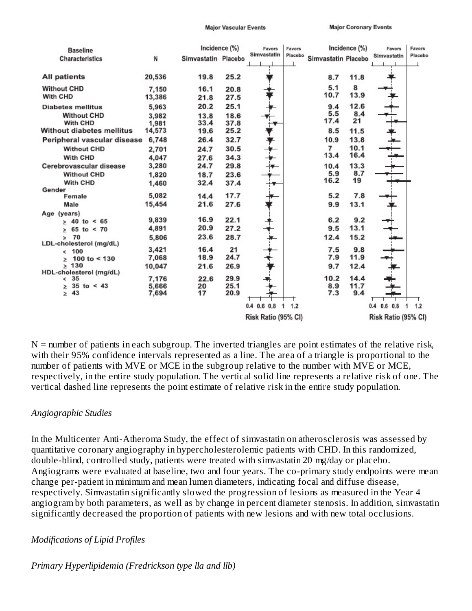**Major Vascular Events** 

**Major Coronary Events** 

| <b>Baseline</b><br><b>Characteristics</b>                                               | N                                 | Simvastatin Placebo          | Incidence (%)                | Favors<br>Simvastatin                     | Favors<br>Placebo | Simvastatin Placebo       | Incidence (%)             | Favors<br>Simvastatin                     | Favors<br>Placebo |
|-----------------------------------------------------------------------------------------|-----------------------------------|------------------------------|------------------------------|-------------------------------------------|-------------------|---------------------------|---------------------------|-------------------------------------------|-------------------|
| All patients                                                                            | 20,536                            | 19.8                         | 25.2                         |                                           |                   | 8.7                       | 11.8                      |                                           |                   |
| <b>Without CHD</b><br>With CHD                                                          | 7,150<br>13,386                   | 16.1<br>21.8                 | 20.8<br>27.5                 |                                           |                   | 5.1<br>10.7               | 8<br>13.9                 |                                           |                   |
| <b>Diabetes mellitus</b><br><b>Without CHD</b><br>With CHD<br>Without diabetes mellitus | 5,963<br>3,982<br>1,981<br>14,573 | 20.2<br>13.8<br>33.4<br>19.6 | 25.1<br>18.6<br>37.8<br>25.2 |                                           |                   | 9.4<br>5.5<br>17.4<br>8.5 | 12.6<br>8.4<br>21<br>11.5 |                                           |                   |
| Peripheral vascular disease<br><b>Without CHD</b>                                       | 6,748<br>2,701                    | 26.4<br>24.7                 | 32.7<br>30.5                 |                                           |                   | 10.9<br>7                 | 13.8<br>10.1              |                                           |                   |
| With CHD<br>Cerebrovascular disease                                                     | 4,047<br>3,280                    | 27.6<br>24.7                 | 34.3<br>29.8                 |                                           |                   | 13.4<br>10.4              | 16.4<br>13.3              |                                           |                   |
| <b>Without CHD</b><br>With CHD                                                          | 1,820<br>1,460                    | 18.7<br>32.4                 | 23.6<br>37.4                 |                                           |                   | 5.9<br>16.2               | 8.7<br>19                 |                                           |                   |
| Gender<br>Female<br>Male                                                                | 5.082<br>15,454                   | 14.4<br>21.6                 | 17.7<br>27.6                 |                                           |                   | 5.2<br>9.9                | 7.8<br>13.1               |                                           |                   |
| Age (years)<br>$> 40$ to < 65                                                           | 9,839                             | 16.9                         | 22.1                         |                                           |                   | 6.2                       | 9.2                       |                                           |                   |
| $65$ to < 70<br>><br>70<br>$\geq$<br>LDL-cholesterol (mg/dL)                            | 4,891<br>5,806                    | 20.9<br>23.6                 | 27.2<br>28.7                 |                                           |                   | 9.5<br>12.4               | 13.1<br>15.2              |                                           |                   |
| < 100<br>100 to $<$ 130<br>>                                                            | 3,421<br>7,068                    | 16.4<br>18.9                 | 21<br>24.7                   |                                           |                   | 7.5<br>7.9                | 9.8<br>11.9               |                                           |                   |
| $\geq 130$<br>HDL-cholesterol (mg/dL)<br>35<br>$\lt$                                    | 10,047<br>7,176                   | 21.6<br>22.6                 | 26.9<br>29.9                 |                                           |                   | 9.7<br>10.2               | 12.4<br>14.4              |                                           |                   |
| $35$ to < 43<br>Σ<br>$\geq 43$                                                          | 5,666<br>7.694                    | 20<br>17                     | 25.1<br>20.9                 |                                           |                   | 8.9<br>7.3                | 11.7<br>9.4               |                                           |                   |
|                                                                                         |                                   |                              |                              | $0.4$ 0.6 0.8<br>1<br>Risk Ratio (95% CI) | 1.2               |                           |                           | $0.4$ 0.6 0.8<br>1<br>Risk Ratio (95% CI) | 1.2               |

 $N =$  number of patients in each subgroup. The inverted triangles are point estimates of the relative risk, with their 95% confidence intervals represented as a line. The area of a triangle is proportional to the number of patients with MVE or MCE in the subgroup relative to the number with MVE or MCE, respectively, in the entire study population. The vertical solid line represents a relative risk of one. The vertical dashed line represents the point estimate of relative risk in the entire study population.

#### *Angiographic Studies*

In the Multicenter Anti-Atheroma Study, the effect of simvastatin on atherosclerosis was assessed by quantitative coronary angiography in hypercholesterolemic patients with CHD. In this randomized, double-blind, controlled study, patients were treated with simvastatin 20 mg/day or placebo. Angiograms were evaluated at baseline, two and four years. The co-primary study endpoints were mean change per-patient in minimum and mean lumen diameters, indicating focal and diffuse disease, respectively. Simvastatin significantly slowed the progression of lesions as measured in the Year 4 angiogram by both parameters, as well as by change in percent diameter stenosis. In addition, simvastatin significantly decreased the proportion of patients with new lesions and with new total occlusions.

#### *Modifications of Lipid Profiles*

*Primary Hyperlipidemia (Fredrickson type lla and llb)*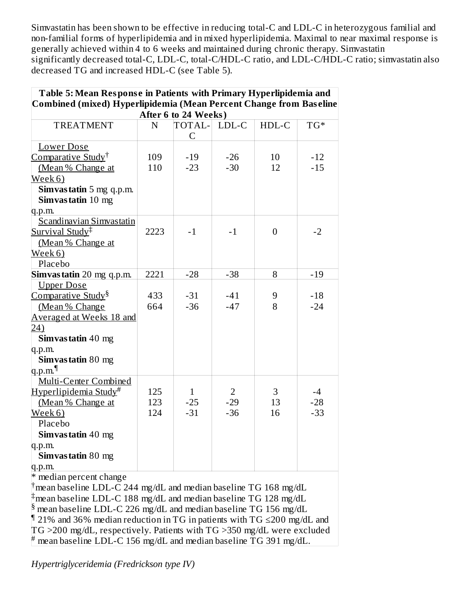Simvastatin has been shown to be effective in reducing total-C and LDL-C in heterozygous familial and non-familial forms of hyperlipidemia and in mixed hyperlipidemia. Maximal to near maximal response is generally achieved within 4 to 6 weeks and maintained during chronic therapy. Simvastatin significantly decreased total-C, LDL-C, total-C/HDL-C ratio, and LDL-C/HDL-C ratio; simvastatin also decreased TG and increased HDL-C (see Table 5).

| Table 5: Mean Response in Patients with Primary Hyperlipidemia and |      |                      |                |                |       |  |  |
|--------------------------------------------------------------------|------|----------------------|----------------|----------------|-------|--|--|
| Combined (mixed) Hyperlipidemia (Mean Percent Change from Baseline |      |                      |                |                |       |  |  |
|                                                                    |      | After 6 to 24 Weeks) |                |                |       |  |  |
| <b>TREATMENT</b>                                                   | N    | TOTAL-               | LDL-C          | HDL-C          | $TG*$ |  |  |
|                                                                    |      | C                    |                |                |       |  |  |
| <b>Lower Dose</b>                                                  |      |                      |                |                |       |  |  |
| Comparative Study <sup>†</sup>                                     | 109  | $-19$                | $-26$          | 10             | $-12$ |  |  |
| (Mean % Change at                                                  | 110  | $-23$                | $-30$          | 12             | $-15$ |  |  |
| Week 6)                                                            |      |                      |                |                |       |  |  |
| Simvastatin 5 mg q.p.m.                                            |      |                      |                |                |       |  |  |
| Simvastatin 10 mg                                                  |      |                      |                |                |       |  |  |
| q.p.m.                                                             |      |                      |                |                |       |  |  |
| Scandinavian Simvastatin                                           |      |                      |                |                |       |  |  |
| Survival Study <sup>‡</sup>                                        | 2223 | $-1$                 | $-1$           | $\overline{0}$ | $-2$  |  |  |
| (Mean % Change at                                                  |      |                      |                |                |       |  |  |
| Week 6)                                                            |      |                      |                |                |       |  |  |
| Placebo                                                            |      |                      |                |                |       |  |  |
| Simvastatin 20 mg q.p.m.                                           | 2221 | $-28$                | $-38$          | 8              | $-19$ |  |  |
| <b>Upper Dose</b>                                                  |      |                      |                |                |       |  |  |
| Comparative Study <sup>§</sup>                                     | 433  | $-31$                | $-41$          | 9              | $-18$ |  |  |
| (Mean % Change                                                     | 664  | $-36$                | $-47$          | 8              | $-24$ |  |  |
| Averaged at Weeks 18 and                                           |      |                      |                |                |       |  |  |
| 24)                                                                |      |                      |                |                |       |  |  |
| Simvastatin 40 mg                                                  |      |                      |                |                |       |  |  |
| q.p.m.                                                             |      |                      |                |                |       |  |  |
| Simvastatin 80 mg                                                  |      |                      |                |                |       |  |  |
| q.p.m. $\P$                                                        |      |                      |                |                |       |  |  |
| Multi-Center Combined                                              |      |                      |                |                |       |  |  |
| Hyperlipidemia Study#                                              | 125  | $\mathbf{1}$         | $\overline{2}$ | 3              | $-4$  |  |  |
| (Mean % Change at                                                  | 123  | $-25$                | $-29$          | 13             | $-28$ |  |  |
| Week 6)                                                            | 124  | $-31$                | $-36$          | 16             | $-33$ |  |  |
| Placebo                                                            |      |                      |                |                |       |  |  |
| Simvastatin 40 mg                                                  |      |                      |                |                |       |  |  |
| q.p.m.                                                             |      |                      |                |                |       |  |  |
| Simvastatin 80 mg                                                  |      |                      |                |                |       |  |  |
| q.p.m.                                                             |      |                      |                |                |       |  |  |
| * median percent change                                            |      |                      |                |                |       |  |  |

 $\dagger$ mean baseline LDL-C 244 mg/dL and median baseline TG 168 mg/dL  $\#$ mean baseline LDL-C 188 mg/dL and median baseline TG 128 mg/dL  $\frac{1}{2}$  mean baseline LDL-C 226 mg/dL and median baseline TG 156 mg/dL  $\P$  21% and 36% median reduction in TG in patients with TG ≤200 mg/dL and TG >200 mg/dL, respectively. Patients with TG >350 mg/dL were excluded  $^{\#}$  mean baseline LDL-C 156 mg/dL and median baseline TG 391 mg/dL.

*Hypertriglyceridemia (Fredrickson type IV)*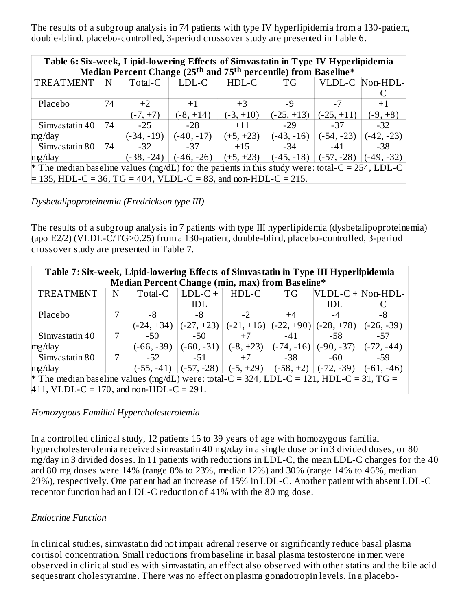The results of a subgroup analysis in 74 patients with type IV hyperlipidemia from a 130-patient, double-blind, placebo-controlled, 3-period crossover study are presented in Table 6.

| Table 6: Six-week, Lipid-lowering Effects of Simvastatin in Type IV Hyperlipidemia<br>Median Percent Change (25 <sup>th</sup> and 75 <sup>th</sup> percentile) from Baseline* |                                                                                             |              |              |             |              |              |                 |  |  |  |
|-------------------------------------------------------------------------------------------------------------------------------------------------------------------------------|---------------------------------------------------------------------------------------------|--------------|--------------|-------------|--------------|--------------|-----------------|--|--|--|
| <b>TREATMENT</b>                                                                                                                                                              | N                                                                                           | Total-C      | $LDL-C$      | HDL-C       | TG           |              | VLDL-C Non-HDL- |  |  |  |
|                                                                                                                                                                               |                                                                                             |              |              |             |              |              |                 |  |  |  |
| Placebo                                                                                                                                                                       | 74                                                                                          | $+2$         | $+1$         | $+3$        | -9           | $-7$         | $+1$            |  |  |  |
|                                                                                                                                                                               |                                                                                             | $(-7, +7)$   | $(-8, +14)$  | $(-3, +10)$ | $(-25, +13)$ | $(-25, +11)$ | $(-9, +8)$      |  |  |  |
| Simvastatin 40                                                                                                                                                                | 74                                                                                          | $-25$        | $-28$        | $+11$       | $-29$        | $-37$        | $-32$           |  |  |  |
| mg/day                                                                                                                                                                        |                                                                                             | $(-34, -19)$ | $(-40, -17)$ | $(+5, +23)$ | $(-43, -16)$ | $(-54, -23)$ | (-42, -23)      |  |  |  |
| Simvastatin 80                                                                                                                                                                | 74                                                                                          | $-32$        | -37          | $+15$       | $-34$        | $-41$        | -38             |  |  |  |
| mg/day                                                                                                                                                                        | $(-38, -24)$<br>$(-46, -26)$<br>$(+5, +23)$<br>$(-45, -18)$<br>$(-57, -28)$<br>$(-49, -32)$ |              |              |             |              |              |                 |  |  |  |
| <sup>*</sup> The median baseline values (mg/dL) for the patients in this study were: total-C = 254, LDL-C                                                                     |                                                                                             |              |              |             |              |              |                 |  |  |  |
| $\neq$ 135, HDL-C = 36, TG = 404, VLDL-C = 83, and non-HDL-C = 215.                                                                                                           |                                                                                             |              |              |             |              |              |                 |  |  |  |

*Dysbetalipoproteinemia (Fredrickson type III)*

The results of a subgroup analysis in 7 patients with type III hyperlipidemia (dysbetalipoproteinemia) (apo E2/2) (VLDL-C/TG>0.25) from a 130-patient, double-blind, placebo-controlled, 3-period crossover study are presented in Table 7.

| Table 7: Six-week, Lipid-lowering Effects of Simvastatin in Type III Hyperlipidemia     |                                                                                            |              |              |             |              |              |                   |  |  |
|-----------------------------------------------------------------------------------------|--------------------------------------------------------------------------------------------|--------------|--------------|-------------|--------------|--------------|-------------------|--|--|
| Median Percent Change (min, max) from Baseline*                                         |                                                                                            |              |              |             |              |              |                   |  |  |
| <b>TREATMENT</b>                                                                        | N                                                                                          | Total-C      | $LDL-C +$    | HDL-C       | <b>TG</b>    |              | VLDL-C + Non-HDL- |  |  |
|                                                                                         |                                                                                            |              | <b>IDL</b>   |             |              | <b>IDL</b>   |                   |  |  |
| Placebo                                                                                 |                                                                                            | -8           | -8           | $-2$        | $+4$         | -4           | -8                |  |  |
|                                                                                         | $(-22, +90)$<br>$(-28, +78)$<br>$(-27, +23)$<br>(-26, -39)<br>(-24, +34)<br>$(-21, +16)$   |              |              |             |              |              |                   |  |  |
| Simvastatin 40                                                                          | 7                                                                                          | $-50$        | $-50$        | $+7$        | $-41$        | -58          | $-57$             |  |  |
| mg/day                                                                                  |                                                                                            | $(-66, -39)$ | $(-60, -31)$ | $(-8, +23)$ | $(-74, -16)$ | $(-90, -37)$ | (-72, -44)        |  |  |
| Simvastatin 80                                                                          | 7                                                                                          | $-52$        | $-51$        | $+7$        | -38          | $-60$        | -59               |  |  |
| mg/day                                                                                  | $(-57, -28)$<br>$(-72, -39)$<br>$(-5, +29)$<br>$(-58, +2)$<br>$(-61, -46)$<br>$(-55, -41)$ |              |              |             |              |              |                   |  |  |
| * The median baseline values (mg/dL) were: total-C = 324, LDL-C = 121, HDL-C = 31, TG = |                                                                                            |              |              |             |              |              |                   |  |  |
| $411$ , VLDL-C = 170, and non-HDL-C = 291.                                              |                                                                                            |              |              |             |              |              |                   |  |  |

#### *Homozygous Familial Hypercholesterolemia*

In a controlled clinical study, 12 patients 15 to 39 years of age with homozygous familial hypercholesterolemia received simvastatin 40 mg/day in a single dose or in 3 divided doses, or 80 mg/day in 3 divided doses. In 11 patients with reductions in LDL-C, the mean LDL-C changes for the 40 and 80 mg doses were 14% (range 8% to 23%, median 12%) and 30% (range 14% to 46%, median 29%), respectively. One patient had an increase of 15% in LDL-C. Another patient with absent LDL-C receptor function had an LDL-C reduction of 41% with the 80 mg dose.

## *Endocrine Function*

In clinical studies, simvastatin did not impair adrenal reserve or significantly reduce basal plasma cortisol concentration. Small reductions from baseline in basal plasma testosterone in men were observed in clinical studies with simvastatin, an effect also observed with other statins and the bile acid sequestrant cholestyramine. There was no effect on plasma gonadotropin levels. In a placebo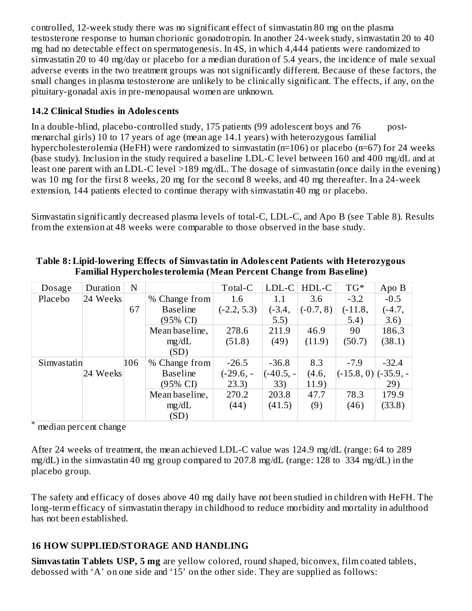controlled, 12-week study there was no significant effect of simvastatin 80 mg on the plasma testosterone response to human chorionic gonadotropin. In another 24-week study, simvastatin 20 to 40 mg had no detectable effect on spermatogenesis. In 4S, in which 4,444 patients were randomized to simvastatin 20 to 40 mg/day or placebo for a median duration of 5.4 years, the incidence of male sexual adverse events in the two treatment groups was not significantly different. Because of these factors, the small changes in plasma testosterone are unlikely to be clinically significant. The effects, if any, on the pituitary-gonadal axis in pre-menopausal women are unknown.

#### **14.2 Clinical Studies in Adoles cents**

In a double-blind, placebo-controlled study, 175 patients (99 adolescent boys and 76 postmenarchal girls) 10 to 17 years of age (mean age 14.1 years) with heterozygous familial hypercholesterolemia (HeFH) were randomized to simvastatin (n=106) or placebo (n=67) for 24 weeks (base study). Inclusion in the study required a baseline LDL-C level between 160 and 400 mg/dL and at least one parent with an LDL-C level >189 mg/dL. The dosage of simvastatin (once daily in the evening) was 10 mg for the first 8 weeks, 20 mg for the second 8 weeks, and 40 mg thereafter. In a 24-week extension, 144 patients elected to continue therapy with simvastatin 40 mg or placebo.

Simvastatin significantly decreased plasma levels of total-C, LDL-C, and Apo B (see Table 8). Results from the extension at 48 weeks were comparable to those observed in the base study.

| Dosage      | Duration | N   |                 | Total-C       | LDL-C     | HDL-C       | $TG^*$                                | Apo B    |
|-------------|----------|-----|-----------------|---------------|-----------|-------------|---------------------------------------|----------|
| Placebo     | 24 Weeks |     | $%$ Change from | 1.6           | 1.1       | 3.6         | $-3.2$                                | $-0.5$   |
|             |          | 67  | <b>Baseline</b> | $(-2.2, 5.3)$ | $(-3.4,$  | $(-0.7, 8)$ | $(-11.8,$                             | $(-4.7,$ |
|             |          |     | (95% CI)        |               | 5.5)      |             | 5.4)                                  | 3.6)     |
|             |          |     | Mean baseline,  | 278.6         | 211.9     | 46.9        | 90                                    | 186.3    |
|             |          |     | mg/dL           | (51.8)        | (49)      | (11.9)      | (50.7)                                | (38.1)   |
|             |          |     | (SD)            |               |           |             |                                       |          |
| Simvastatin |          | 106 | % Change from   | $-26.5$       | $-36.8$   | 8.3         | $-7.9$                                | $-32.4$  |
|             | 24 Weeks |     | <b>Baseline</b> | $(-29.6, -$   | (-40.5, - | (4.6,       | $\left  (-15.8, 0) \right  (-35.9, -$ |          |
|             |          |     | (95% CI)        | 23.3)         | 33)       | 11.9)       |                                       | 29)      |
|             |          |     | Mean baseline,  | 270.2         | 203.8     | 47.7        | 78.3                                  | 179.9    |
|             |          |     | mg/dL           | (44)          | (41.5)    | (9)         | (46)                                  | (33.8)   |
|             |          |     | (SD)            |               |           |             |                                       |          |

**Table 8: Lipid-lowering Effects of Simvastatin in Adoles cent Patients with Heterozygous Familial Hypercholesterolemia (Mean Percent Change from Bas eline)**

median percent change \*

After 24 weeks of treatment, the mean achieved LDL-C value was 124.9 mg/dL (range: 64 to 289 mg/dL) in the simvastatin 40 mg group compared to 207.8 mg/dL (range: 128 to 334 mg/dL) in the placebo group.

The safety and efficacy of doses above 40 mg daily have not been studied in children with HeFH. The long-term efficacy of simvastatin therapy in childhood to reduce morbidity and mortality in adulthood has not been established.

## **16 HOW SUPPLIED/STORAGE AND HANDLING**

**Simvastatin Tablets USP, 5 mg** are yellow colored, round shaped, biconvex, film coated tablets, debossed with 'A' on one side and '15' on the other side. They are supplied as follows: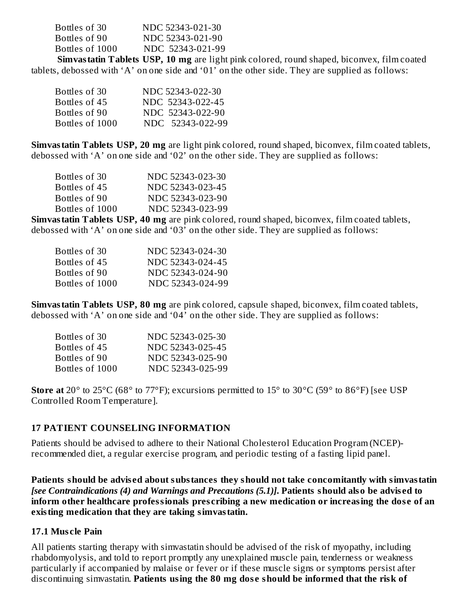| Bottles of 30   | NDC 52343-021-30 |
|-----------------|------------------|
| Bottles of 90   | NDC 52343-021-90 |
| Bottles of 1000 | NDC 52343-021-99 |
|                 |                  |

**Simvastatin Tablets USP, 10 mg** are light pink colored, round shaped, biconvex, film coated tablets, debossed with 'A' on one side and '01' on the other side. They are supplied as follows:

| Bottles of 30   | NDC 52343-022-30 |
|-----------------|------------------|
| Bottles of 45   | NDC 52343-022-45 |
| Bottles of 90   | NDC 52343-022-90 |
| Bottles of 1000 | NDC 52343-022-99 |

**Simvastatin Tablets USP, 20 mg** are light pink colored, round shaped, biconvex, film coated tablets, debossed with 'A' on one side and '02' on the other side. They are supplied as follows:

| Bottles of 30   | NDC 52343-023-30 |
|-----------------|------------------|
| Bottles of 45   | NDC 52343-023-45 |
| Bottles of 90   | NDC 52343-023-90 |
| Bottles of 1000 | NDC 52343-023-99 |

**Simvastatin Tablets USP, 40 mg** are pink colored, round shaped, biconvex, film coated tablets, debossed with 'A' on one side and '03' on the other side. They are supplied as follows:

| Bottles of 30   | NDC 52343-024-30 |
|-----------------|------------------|
| Bottles of 45   | NDC 52343-024-45 |
| Bottles of 90   | NDC 52343-024-90 |
| Bottles of 1000 | NDC 52343-024-99 |

**Simvastatin Tablets USP, 80 mg** are pink colored, capsule shaped, biconvex, film coated tablets, debossed with 'A' on one side and '04' on the other side. They are supplied as follows:

| Bottles of 30   | NDC 52343-025-30 |
|-----------------|------------------|
| Bottles of 45   | NDC 52343-025-45 |
| Bottles of 90   | NDC 52343-025-90 |
| Bottles of 1000 | NDC 52343-025-99 |

**Store at** 20° to 25°C (68° to 77°F); excursions permitted to 15° to 30°C (59° to 86°F) [see USP Controlled Room Temperature].

#### **17 PATIENT COUNSELING INFORMATION**

Patients should be advised to adhere to their National Cholesterol Education Program (NCEP) recommended diet, a regular exercise program, and periodic testing of a fasting lipid panel.

**Patients should be advis ed about substances they should not take concomitantly with simvastatin** *[see Contraindications (4) and Warnings and Precautions (5.1)]***. Patients should also be advis ed to inform other healthcare professionals pres cribing a new medication or increasing the dos e of an existing medication that they are taking simvastatin.**

#### **17.1 Mus cle Pain**

All patients starting therapy with simvastatin should be advised of the risk of myopathy, including rhabdomyolysis, and told to report promptly any unexplained muscle pain, tenderness or weakness particularly if accompanied by malaise or fever or if these muscle signs or symptoms persist after discontinuing simvastatin. **Patients using the 80 mg dos e should be informed that the risk of**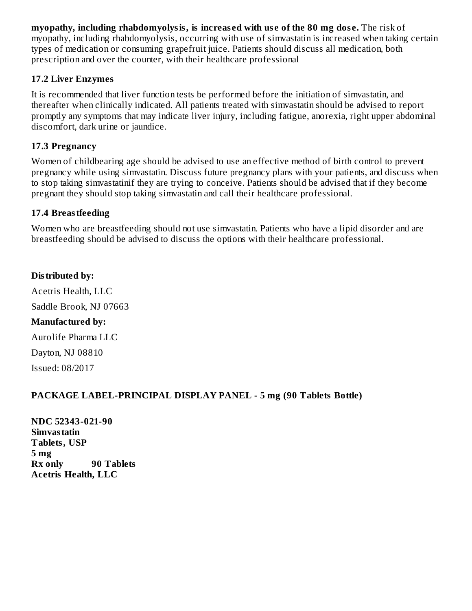**myopathy, including rhabdomyolysis, is increas ed with us e of the 80 mg dos e.** The risk of myopathy, including rhabdomyolysis, occurring with use of simvastatin is increased when taking certain types of medication or consuming grapefruit juice. Patients should discuss all medication, both prescription and over the counter, with their healthcare professional

#### **17.2 Liver Enzymes**

It is recommended that liver function tests be performed before the initiation of simvastatin, and thereafter when clinically indicated. All patients treated with simvastatin should be advised to report promptly any symptoms that may indicate liver injury, including fatigue, anorexia, right upper abdominal discomfort, dark urine or jaundice.

#### **17.3 Pregnancy**

Women of childbearing age should be advised to use an effective method of birth control to prevent pregnancy while using simvastatin. Discuss future pregnancy plans with your patients, and discuss when to stop taking simvastatinif they are trying to conceive. Patients should be advised that if they become pregnant they should stop taking simvastatin and call their healthcare professional.

#### **17.4 Breastfeeding**

Women who are breastfeeding should not use simvastatin. Patients who have a lipid disorder and are breastfeeding should be advised to discuss the options with their healthcare professional.

## **Distributed by:**

Acetris Health, LLC Saddle Brook, NJ 07663 **Manufactured by:** Aurolife Pharma LLC Dayton, NJ 08810

Issued: 08/2017

## **PACKAGE LABEL-PRINCIPAL DISPLAY PANEL - 5 mg (90 Tablets Bottle)**

**NDC 52343-021-90 Simvastatin Tablets, USP 5 mg Rx only 90 Tablets Acetris Health, LLC**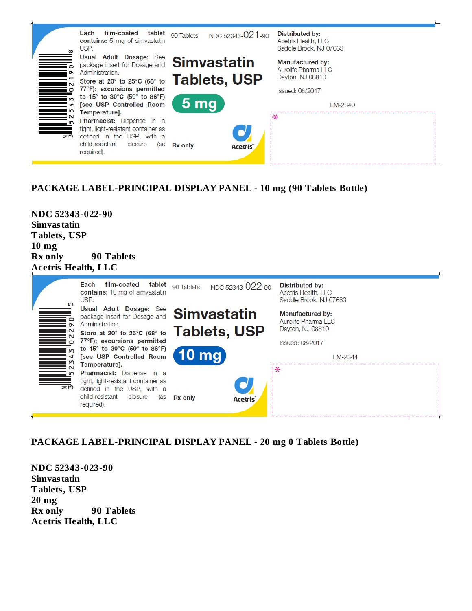

#### **PACKAGE LABEL-PRINCIPAL DISPLAY PANEL - 10 mg (90 Tablets Bottle)**

**NDC 52343-022-90 Simvastatin Tablets, USP 10 mg Rx only 90 Tablets Acetris Health, LLC**



#### **PACKAGE LABEL-PRINCIPAL DISPLAY PANEL - 20 mg 0 Tablets Bottle)**

**NDC 52343-023-90 Simvastatin Tablets, USP 20 mg Rx only 90 Tablets Acetris Health, LLC**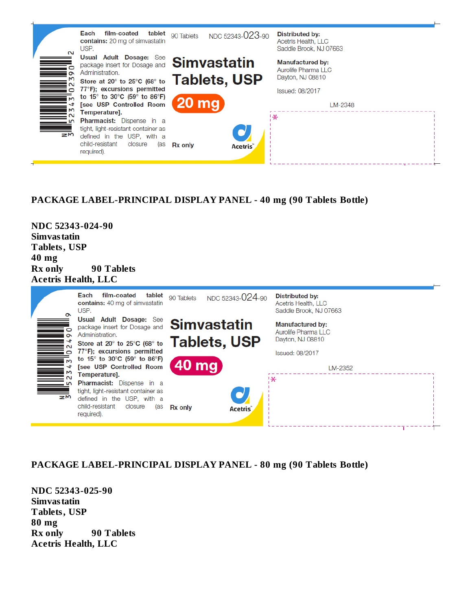

#### **PACKAGE LABEL-PRINCIPAL DISPLAY PANEL - 40 mg (90 Tablets Bottle)**

**NDC 52343-024-90 Simvastatin Tablets, USP 40 mg Rx only 90 Tablets Acetris Health, LLC**



#### **PACKAGE LABEL-PRINCIPAL DISPLAY PANEL - 80 mg (90 Tablets Bottle)**

**NDC 52343-025-90 Simvastatin Tablets, USP 80 mg Rx only 90 Tablets Acetris Health, LLC**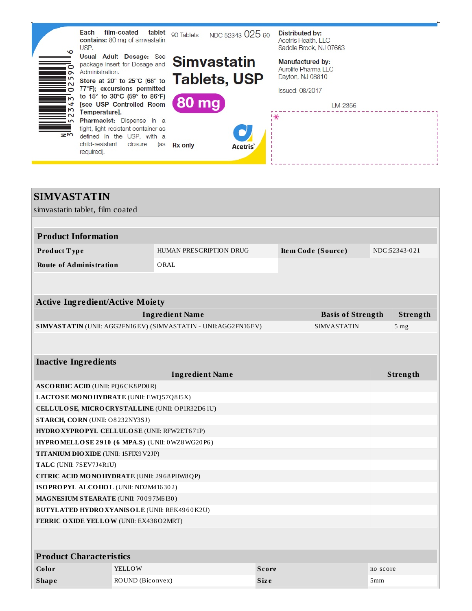

| <b>SIMVASTATIN</b>                                  |                  |                                                                |              |                          |          |                 |
|-----------------------------------------------------|------------------|----------------------------------------------------------------|--------------|--------------------------|----------|-----------------|
| simvastatin tablet, film coated                     |                  |                                                                |              |                          |          |                 |
|                                                     |                  |                                                                |              |                          |          |                 |
| <b>Product Information</b>                          |                  |                                                                |              |                          |          |                 |
| Product Type                                        |                  | <b>HUMAN PRESCRIPTION DRUG</b>                                 |              | Item Code (Source)       |          | NDC:52343-021   |
| <b>Route of Administration</b>                      |                  | ORAL                                                           |              |                          |          |                 |
|                                                     |                  |                                                                |              |                          |          |                 |
|                                                     |                  |                                                                |              |                          |          |                 |
| <b>Active Ingredient/Active Moiety</b>              |                  |                                                                |              |                          |          |                 |
|                                                     |                  | <b>Ingredient Name</b>                                         |              | <b>Basis of Strength</b> |          | Strength        |
|                                                     |                  | SIMVASTATIN (UNII: AGG2FN16EV) (SIMVASTATIN - UNII:AGG2FN16EV) |              | <b>SIMVASTATIN</b>       |          | 5 <sub>mg</sub> |
|                                                     |                  |                                                                |              |                          |          |                 |
| <b>Inactive Ingredients</b>                         |                  |                                                                |              |                          |          |                 |
|                                                     |                  | <b>Ingredient Name</b>                                         |              |                          |          | Strength        |
| <b>ASCORBIC ACID (UNII: PQ6CK8PD0R)</b>             |                  |                                                                |              |                          |          |                 |
| LACTOSE MONOHYDRATE (UNII: EWQ57Q8I5X)              |                  |                                                                |              |                          |          |                 |
| CELLULOSE, MICRO CRYSTALLINE (UNII: OP1R32D61U)     |                  |                                                                |              |                          |          |                 |
| STARCH, CORN (UNII: O8232NY3SJ)                     |                  |                                                                |              |                          |          |                 |
| HYDRO XYPROPYL CELLULOSE (UNII: RFW2ET671P)         |                  |                                                                |              |                          |          |                 |
| HYPROMELLOSE 2910 (6 MPA.S) (UNII: 0WZ8WG20P6)      |                  |                                                                |              |                          |          |                 |
| <b>TITANIUM DIO XIDE</b> (UNII: 15FIX9 V2JP)        |                  |                                                                |              |                          |          |                 |
| TALC (UNII: 7SEV7J4R1U)                             |                  |                                                                |              |                          |          |                 |
| CITRIC ACID MONOHYDRATE (UNII: 2968PHW8QP)          |                  |                                                                |              |                          |          |                 |
| ISOPROPYL ALCOHOL (UNII: ND2M416302)                |                  |                                                                |              |                          |          |                 |
| MAGNESIUM STEARATE (UNII: 70097M6I30)               |                  |                                                                |              |                          |          |                 |
| <b>BUTYLATED HYDRO XYANISOLE (UNII: REK4960K2U)</b> |                  |                                                                |              |                          |          |                 |
| FERRIC OXIDE YELLOW (UNII: EX43802MRT)              |                  |                                                                |              |                          |          |                 |
|                                                     |                  |                                                                |              |                          |          |                 |
| <b>Product Characteristics</b>                      |                  |                                                                |              |                          |          |                 |
| Color                                               | <b>YELLOW</b>    |                                                                | <b>Score</b> |                          | no score |                 |
| <b>Shape</b>                                        | ROUND (Biconvex) |                                                                | <b>Size</b>  |                          | 5mm      |                 |
|                                                     |                  |                                                                |              |                          |          |                 |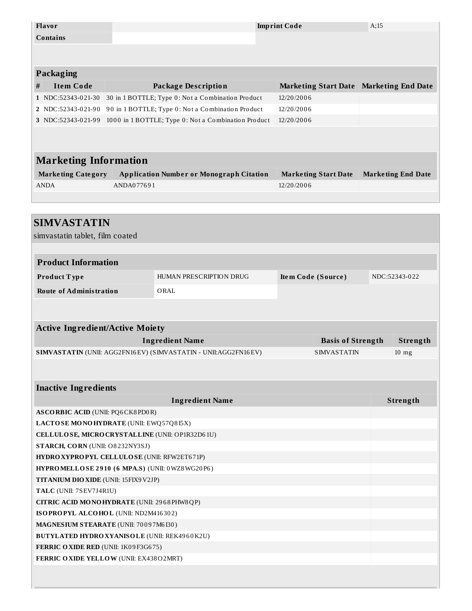| Flavor                                                                                                                                                                                                                |            |                                                                | <b>Imprint Code</b> |                                         | A:15 |                           |
|-----------------------------------------------------------------------------------------------------------------------------------------------------------------------------------------------------------------------|------------|----------------------------------------------------------------|---------------------|-----------------------------------------|------|---------------------------|
| <b>Contains</b>                                                                                                                                                                                                       |            |                                                                |                     |                                         |      |                           |
|                                                                                                                                                                                                                       |            |                                                                |                     |                                         |      |                           |
|                                                                                                                                                                                                                       |            |                                                                |                     |                                         |      |                           |
| <b>Packaging</b>                                                                                                                                                                                                      |            |                                                                |                     |                                         |      |                           |
| <b>Item Code</b><br>#                                                                                                                                                                                                 |            | <b>Package Description</b>                                     |                     | Marketing Start Date Marketing End Date |      |                           |
| 1 NDC:52343-021-30                                                                                                                                                                                                    |            | 30 in 1 BOTTLE; Type 0: Not a Combination Product              | 12/20/2006          |                                         |      |                           |
| 2 NDC:52343-021-90                                                                                                                                                                                                    |            | 90 in 1 BOTTLE; Type 0: Not a Combination Product              | 12/20/2006          |                                         |      |                           |
| 3 NDC:52343-021-99                                                                                                                                                                                                    |            | 1000 in 1 BOTTLE; Type 0: Not a Combination Product            | 12/20/2006          |                                         |      |                           |
|                                                                                                                                                                                                                       |            |                                                                |                     |                                         |      |                           |
|                                                                                                                                                                                                                       |            |                                                                |                     |                                         |      |                           |
| <b>Marketing Information</b>                                                                                                                                                                                          |            |                                                                |                     |                                         |      |                           |
| <b>Marketing Category</b>                                                                                                                                                                                             |            | <b>Application Number or Monograph Citation</b>                |                     | <b>Marketing Start Date</b>             |      | <b>Marketing End Date</b> |
| <b>ANDA</b>                                                                                                                                                                                                           | ANDA077691 |                                                                | 12/20/2006          |                                         |      |                           |
|                                                                                                                                                                                                                       |            |                                                                |                     |                                         |      |                           |
|                                                                                                                                                                                                                       |            |                                                                |                     |                                         |      |                           |
| <b>SIMVASTATIN</b>                                                                                                                                                                                                    |            |                                                                |                     |                                         |      |                           |
| simvastatin tablet, film coated                                                                                                                                                                                       |            |                                                                |                     |                                         |      |                           |
|                                                                                                                                                                                                                       |            |                                                                |                     |                                         |      |                           |
| <b>Product Information</b>                                                                                                                                                                                            |            |                                                                |                     |                                         |      |                           |
|                                                                                                                                                                                                                       |            |                                                                |                     |                                         |      |                           |
|                                                                                                                                                                                                                       |            | HUMAN PRESCRIPTION DRUG                                        |                     |                                         |      | NDC:52343-022             |
| Product Type                                                                                                                                                                                                          |            |                                                                |                     | Item Code (Source)                      |      |                           |
| <b>Route of Administration</b>                                                                                                                                                                                        |            | ORAL                                                           |                     |                                         |      |                           |
|                                                                                                                                                                                                                       |            |                                                                |                     |                                         |      |                           |
|                                                                                                                                                                                                                       |            |                                                                |                     |                                         |      |                           |
|                                                                                                                                                                                                                       |            |                                                                |                     |                                         |      |                           |
| <b>Active Ingredient/Active Moiety</b>                                                                                                                                                                                |            | <b>Ingredient Name</b>                                         |                     | <b>Basis of Strength</b>                |      | Strength                  |
|                                                                                                                                                                                                                       |            | SIMVASTATIN (UNII: AGG2FN16EV) (SIMVASTATIN - UNII:AGG2FN16EV) |                     | <b>SIMVASTATIN</b>                      |      | $10$ mg                   |
|                                                                                                                                                                                                                       |            |                                                                |                     |                                         |      |                           |
|                                                                                                                                                                                                                       |            |                                                                |                     |                                         |      |                           |
|                                                                                                                                                                                                                       |            | <b>Ingredient Name</b>                                         |                     |                                         |      | Strength                  |
|                                                                                                                                                                                                                       |            |                                                                |                     |                                         |      |                           |
|                                                                                                                                                                                                                       |            |                                                                |                     |                                         |      |                           |
| CELLULOSE, MICRO CRYSTALLINE (UNII: OP1R32D61U)                                                                                                                                                                       |            |                                                                |                     |                                         |      |                           |
| <b>Inactive Ingredients</b><br><b>ASCORBIC ACID (UNII: PQ6CK8PD0R)</b><br>LACTOSE MONOHYDRATE (UNII: EWQ57Q815X)<br>STARCH, CORN (UNII: O8232NY3SJ)                                                                   |            |                                                                |                     |                                         |      |                           |
|                                                                                                                                                                                                                       |            |                                                                |                     |                                         |      |                           |
| HYPROMELLOSE 2910 (6 MPA.S) (UNII: 0WZ8WG20P6)                                                                                                                                                                        |            |                                                                |                     |                                         |      |                           |
|                                                                                                                                                                                                                       |            |                                                                |                     |                                         |      |                           |
|                                                                                                                                                                                                                       |            |                                                                |                     |                                         |      |                           |
| CITRIC ACID MONOHYDRATE (UNII: 2968 PHW8 QP)                                                                                                                                                                          |            |                                                                |                     |                                         |      |                           |
| ISOPROPYL ALCOHOL (UNII: ND2M416302)                                                                                                                                                                                  |            |                                                                |                     |                                         |      |                           |
|                                                                                                                                                                                                                       |            |                                                                |                     |                                         |      |                           |
| <b>HYDRO XYPROPYL CELLULOSE (UNII: RFW2ET671P)</b><br>TITANIUM DIO XIDE (UNII: 15FIX9V2JP)<br>TALC (UNII: 7SEV7J4R1U)<br>MAGNESIUM STEARATE (UNII: 70097M6I30)<br><b>BUTYLATED HYDRO XYANISOLE (UNII: REK4960K2U)</b> |            |                                                                |                     |                                         |      |                           |
| FERRIC OXIDE RED (UNII: 1K09F3G675)                                                                                                                                                                                   |            |                                                                |                     |                                         |      |                           |
| FERRIC OXIDE YELLOW (UNII: EX438O2MRT)                                                                                                                                                                                |            |                                                                |                     |                                         |      |                           |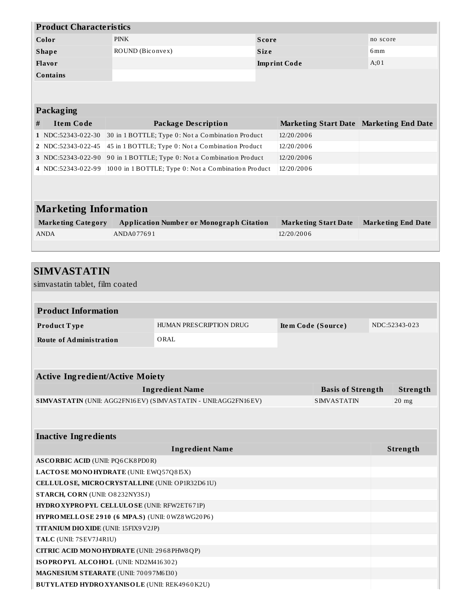| <b>Product Characteristics</b> |                  |                     |                 |  |  |  |  |
|--------------------------------|------------------|---------------------|-----------------|--|--|--|--|
| Color                          | <b>PINK</b>      | Score               | no score        |  |  |  |  |
| <b>Shape</b>                   | ROUND (Biconvex) | <b>Size</b>         | 6 <sub>mm</sub> |  |  |  |  |
| <b>Flavor</b>                  |                  | <b>Imprint Code</b> | A;01            |  |  |  |  |
| <b>Contains</b>                |                  |                     |                 |  |  |  |  |
|                                |                  |                     |                 |  |  |  |  |

|   | <b>Packaging</b>             |                                                     |                                         |                           |  |  |  |  |  |  |
|---|------------------------------|-----------------------------------------------------|-----------------------------------------|---------------------------|--|--|--|--|--|--|
| # | <b>Item Code</b>             | Package Description                                 | Marketing Start Date Marketing End Date |                           |  |  |  |  |  |  |
|   | 1 NDC:52343-022-30           | 30 in 1 BOTTLE; Type 0: Not a Combination Product   | 12/20/2006                              |                           |  |  |  |  |  |  |
|   | 2 NDC:52343-022-45           | 45 in 1 BOTTLE; Type 0: Not a Combination Product   | 12/20/2006                              |                           |  |  |  |  |  |  |
|   | 3 NDC:52343-022-90           | 90 in 1 BOTTLE; Type 0: Not a Combination Product   | 12/20/2006                              |                           |  |  |  |  |  |  |
|   | 4 NDC:52343-022-99           | 1000 in 1 BOTTLE; Type 0: Not a Combination Product | 12/20/2006                              |                           |  |  |  |  |  |  |
|   |                              |                                                     |                                         |                           |  |  |  |  |  |  |
|   |                              |                                                     |                                         |                           |  |  |  |  |  |  |
|   | <b>Marketing Information</b> |                                                     |                                         |                           |  |  |  |  |  |  |
|   | <b>Marketing Category</b>    | <b>Application Number or Monograph Citation</b>     | <b>Marketing Start Date</b>             | <b>Marketing End Date</b> |  |  |  |  |  |  |
|   | <b>ANDA</b>                  | ANDA077691                                          | 12/20/2006                              |                           |  |  |  |  |  |  |

| <b>SIMVASTATIN</b>                                             |                         |                    |                          |               |
|----------------------------------------------------------------|-------------------------|--------------------|--------------------------|---------------|
| simvastatin tablet, film coated                                |                         |                    |                          |               |
|                                                                |                         |                    |                          |               |
| <b>Product Information</b>                                     |                         |                    |                          |               |
| Product Type                                                   | HUMAN PRESCRIPTION DRUG | Item Code (Source) |                          | NDC:52343-023 |
| <b>Route of Administration</b>                                 | ORAL                    |                    |                          |               |
|                                                                |                         |                    |                          |               |
|                                                                |                         |                    |                          |               |
| <b>Active Ingredient/Active Moiety</b>                         |                         |                    |                          |               |
|                                                                | <b>Ingredient Name</b>  |                    | <b>Basis of Strength</b> | Strength      |
| SIMVASTATIN (UNII: AGG2FN16EV) (SIMVASTATIN - UNII:AGG2FN16EV) |                         |                    | <b>SIMVASTATIN</b>       | $20$ mg       |
|                                                                |                         |                    |                          |               |
|                                                                |                         |                    |                          |               |
| <b>Inactive Ingredients</b>                                    |                         |                    |                          |               |
|                                                                | <b>Ingredient Name</b>  |                    |                          | Strength      |
| <b>ASCORBIC ACID (UNII: PQ6CK8PD0R)</b>                        |                         |                    |                          |               |
| LACTOSE MONOHYDRATE (UNII: EWQ57Q8I5X)                         |                         |                    |                          |               |
| CELLULOSE, MICRO CRYSTALLINE (UNII: OP1R32D61U)                |                         |                    |                          |               |
| STARCH, CORN (UNII: O8232NY3SJ)                                |                         |                    |                          |               |
| HYDRO XYPROPYL CELLULOSE (UNII: RFW2ET671P)                    |                         |                    |                          |               |
| HYPROMELLOSE 2910 (6 MPA.S) (UNII: 0WZ8WG20P6)                 |                         |                    |                          |               |
| TITANIUM DIO XIDE (UNII: 15FIX9V2JP)                           |                         |                    |                          |               |
| TALC (UNII: 7SEV7J4R1U)                                        |                         |                    |                          |               |
| CITRIC ACID MONOHYDRATE (UNII: 2968PHW8QP)                     |                         |                    |                          |               |
| ISOPROPYL ALCOHOL (UNII: ND2M416302)                           |                         |                    |                          |               |
| MAGNESIUM STEARATE (UNII: 70097M6I30)                          |                         |                    |                          |               |
| <b>BUTYLATED HYDRO XYANISOLE (UNII: REK4960K2U)</b>            |                         |                    |                          |               |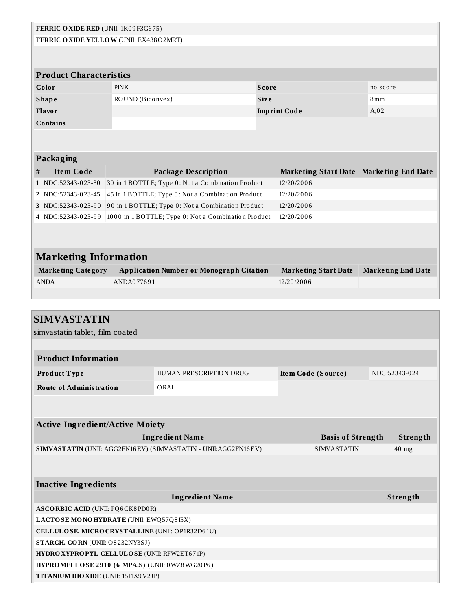| FERRIC OXIDE RED (UNII: 1K09F3G675)                                                                                                                                                                                 |                                |                                                                 |              |                                         |          |  |
|---------------------------------------------------------------------------------------------------------------------------------------------------------------------------------------------------------------------|--------------------------------|-----------------------------------------------------------------|--------------|-----------------------------------------|----------|--|
| FERRIC OXIDE YELLOW (UNII: EX438O2MRT)                                                                                                                                                                              |                                |                                                                 |              |                                         |          |  |
|                                                                                                                                                                                                                     |                                |                                                                 |              |                                         |          |  |
|                                                                                                                                                                                                                     |                                |                                                                 |              |                                         |          |  |
|                                                                                                                                                                                                                     | <b>Product Characteristics</b> |                                                                 |              |                                         |          |  |
|                                                                                                                                                                                                                     | Color                          | <b>PINK</b>                                                     | <b>Score</b> |                                         | no score |  |
|                                                                                                                                                                                                                     | <b>Shape</b>                   | ROUND (Biconvex)                                                | <b>Size</b>  |                                         | 8mm      |  |
|                                                                                                                                                                                                                     | Flavor                         |                                                                 |              | <b>Imprint Code</b>                     | A:02     |  |
|                                                                                                                                                                                                                     | <b>Contains</b>                |                                                                 |              |                                         |          |  |
|                                                                                                                                                                                                                     |                                |                                                                 |              |                                         |          |  |
|                                                                                                                                                                                                                     |                                |                                                                 |              |                                         |          |  |
|                                                                                                                                                                                                                     | Packaging                      |                                                                 |              |                                         |          |  |
| #                                                                                                                                                                                                                   | <b>Item Code</b>               | <b>Package Description</b>                                      |              | Marketing Start Date Marketing End Date |          |  |
|                                                                                                                                                                                                                     | 1 NDC:52343-023-30             | 30 in 1 BOTTLE; Type 0: Not a Combination Product               |              | 12/20/2006                              |          |  |
|                                                                                                                                                                                                                     | 2 NDC:52343-023-45             | 45 in 1 BOTTLE; Type 0: Not a Combination Product               |              | 12/20/2006                              |          |  |
|                                                                                                                                                                                                                     | 3 NDC:52343-023-90             | 90 in 1 BOTTLE; Type 0: Not a Combination Product<br>12/20/2006 |              |                                         |          |  |
|                                                                                                                                                                                                                     | 4 NDC:52343-023-99             | 1000 in 1 BOTTLE; Type 0: Not a Combination Product             |              | 12/20/2006                              |          |  |
|                                                                                                                                                                                                                     |                                |                                                                 |              |                                         |          |  |
|                                                                                                                                                                                                                     |                                |                                                                 |              |                                         |          |  |
|                                                                                                                                                                                                                     |                                |                                                                 |              |                                         |          |  |
|                                                                                                                                                                                                                     |                                |                                                                 |              |                                         |          |  |
|                                                                                                                                                                                                                     |                                |                                                                 |              |                                         |          |  |
|                                                                                                                                                                                                                     |                                |                                                                 |              |                                         |          |  |
|                                                                                                                                                                                                                     |                                |                                                                 |              |                                         |          |  |
|                                                                                                                                                                                                                     |                                |                                                                 |              |                                         |          |  |
| <b>Marketing Information</b><br><b>Marketing Category</b><br><b>Application Number or Monograph Citation</b><br><b>Marketing End Date</b><br><b>Marketing Start Date</b><br>ANDA077691<br><b>ANDA</b><br>12/20/2006 |                                |                                                                 |              |                                         |          |  |

| <b>SIMVASTATIN</b>                                                                                      |                         |  |                          |  |               |  |  |
|---------------------------------------------------------------------------------------------------------|-------------------------|--|--------------------------|--|---------------|--|--|
| simvastatin tablet, film coated                                                                         |                         |  |                          |  |               |  |  |
|                                                                                                         |                         |  |                          |  |               |  |  |
| <b>Product Information</b>                                                                              |                         |  |                          |  |               |  |  |
| Product Type                                                                                            | HUMAN PRESCRIPTION DRUG |  | Item Code (Source)       |  | NDC:52343-024 |  |  |
| <b>Route of Administration</b>                                                                          | ORAL                    |  |                          |  |               |  |  |
|                                                                                                         |                         |  |                          |  |               |  |  |
|                                                                                                         |                         |  |                          |  |               |  |  |
| <b>Active Ingredient/Active Moiety</b>                                                                  |                         |  |                          |  |               |  |  |
|                                                                                                         | <b>Ingredient Name</b>  |  | <b>Basis of Strength</b> |  | Strength      |  |  |
| <b>SIMVASTATIN (UNII: AGG2FN16EV) (SIMVASTATIN - UNII: AGG2FN16EV)</b><br><b>SIMVASTATIN</b><br>$40$ mg |                         |  |                          |  |               |  |  |
|                                                                                                         |                         |  |                          |  |               |  |  |
|                                                                                                         |                         |  |                          |  |               |  |  |
| <b>Inactive Ingredients</b>                                                                             |                         |  |                          |  |               |  |  |
|                                                                                                         | <b>Ingredient Name</b>  |  |                          |  | Strength      |  |  |
| <b>ASCORBIC ACID (UNII: PQ6CK8PD0R)</b>                                                                 |                         |  |                          |  |               |  |  |
| LACTOSE MONOHYDRATE (UNII: EWQ57Q8I5X)                                                                  |                         |  |                          |  |               |  |  |
| CELLULOSE, MICRO CRYSTALLINE (UNII: OP1R32D61U)                                                         |                         |  |                          |  |               |  |  |
| STARCH, CORN (UNII: O8232NY3SJ)                                                                         |                         |  |                          |  |               |  |  |
| HYDROXYPROPYL CELLULOSE (UNII: RFW2ET671P)                                                              |                         |  |                          |  |               |  |  |
| HYPROMELLOSE 2910 (6 MPA.S) (UNII: 0WZ8WG20P6)                                                          |                         |  |                          |  |               |  |  |
| <b>TITANIUM DIO XIDE (UNII: 15FIX9 V2JP)</b>                                                            |                         |  |                          |  |               |  |  |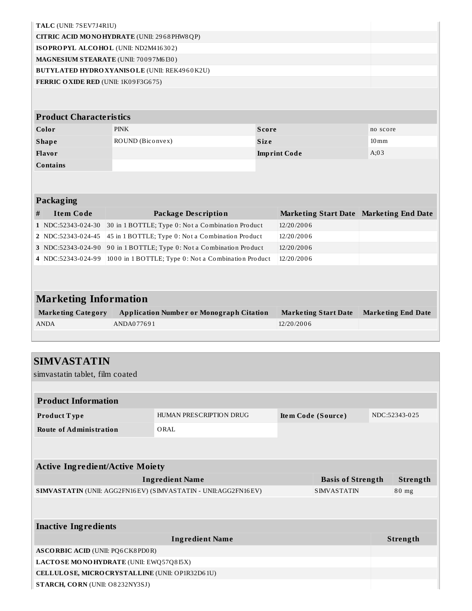|   | TALC (UNII: 7SEV7J4R1U)                             |                  |                                                                                                        |              |                     |                                         |                    |                           |
|---|-----------------------------------------------------|------------------|--------------------------------------------------------------------------------------------------------|--------------|---------------------|-----------------------------------------|--------------------|---------------------------|
|   | CITRIC ACID MONOHYDRATE (UNII: 2968 PHW8 QP)        |                  |                                                                                                        |              |                     |                                         |                    |                           |
|   | ISOPROPYL ALCOHOL (UNII: ND2M416302)                |                  |                                                                                                        |              |                     |                                         |                    |                           |
|   | MAGNESIUM STEARATE (UNII: 70097M6I30)               |                  |                                                                                                        |              |                     |                                         |                    |                           |
|   | <b>BUTYLATED HYDRO XYANISOLE (UNII: REK4960K2U)</b> |                  |                                                                                                        |              |                     |                                         |                    |                           |
|   | FERRIC OXIDE RED (UNII: 1K09F3G675)                 |                  |                                                                                                        |              |                     |                                         |                    |                           |
|   |                                                     |                  |                                                                                                        |              |                     |                                         |                    |                           |
|   | <b>Product Characteristics</b>                      |                  |                                                                                                        |              |                     |                                         |                    |                           |
|   | Color                                               | <b>PINK</b>      |                                                                                                        | <b>Score</b> |                     |                                         | no score           |                           |
|   | <b>Shape</b>                                        | ROUND (Biconvex) |                                                                                                        | <b>Size</b>  |                     |                                         | $10 \,\mathrm{mm}$ |                           |
|   | Flavor                                              |                  |                                                                                                        |              | <b>Imprint Code</b> |                                         | A;03               |                           |
|   | <b>Contains</b>                                     |                  |                                                                                                        |              |                     |                                         |                    |                           |
|   |                                                     |                  |                                                                                                        |              |                     |                                         |                    |                           |
|   | Packaging                                           |                  |                                                                                                        |              |                     |                                         |                    |                           |
|   |                                                     |                  |                                                                                                        |              |                     |                                         |                    |                           |
| # | <b>Item Code</b>                                    |                  | <b>Package Description</b><br>30 in 1 BOTTLE; Type 0: Not a Combination Product                        |              | 12/20/2006          | Marketing Start Date Marketing End Date |                    |                           |
|   | 1 NDC:52343-024-30<br>2 NDC:52343-024-45            |                  |                                                                                                        |              | 12/20/2006          |                                         |                    |                           |
|   | 3 NDC:52343-024-90                                  |                  | 45 in 1 BOTTLE; Type 0: Not a Combination Product<br>90 in 1 BOTTLE; Type 0: Not a Combination Product |              | 12/20/2006          |                                         |                    |                           |
|   | 4 NDC:52343-024-99                                  |                  | 1000 in 1 BOTTLE; Type 0: Not a Combination Product                                                    |              | 12/20/2006          |                                         |                    |                           |
|   |                                                     |                  |                                                                                                        |              |                     |                                         |                    |                           |
|   |                                                     |                  |                                                                                                        |              |                     |                                         |                    |                           |
|   | <b>Marketing Information</b>                        |                  |                                                                                                        |              |                     |                                         |                    |                           |
|   |                                                     |                  |                                                                                                        |              |                     |                                         |                    |                           |
|   |                                                     |                  |                                                                                                        |              |                     |                                         |                    |                           |
|   | <b>Marketing Category</b><br><b>ANDA</b>            | ANDA077691       | <b>Application Number or Monograph Citation</b>                                                        |              | 12/20/2006          | <b>Marketing Start Date</b>             |                    | <b>Marketing End Date</b> |
|   |                                                     |                  |                                                                                                        |              |                     |                                         |                    |                           |
|   |                                                     |                  |                                                                                                        |              |                     |                                         |                    |                           |
|   |                                                     |                  |                                                                                                        |              |                     |                                         |                    |                           |
|   | SIMVASTATIN                                         |                  |                                                                                                        |              |                     |                                         |                    |                           |
|   | simvastatin tablet, film coated                     |                  |                                                                                                        |              |                     |                                         |                    |                           |
|   |                                                     |                  |                                                                                                        |              |                     |                                         |                    |                           |
|   | <b>Product Information</b>                          |                  |                                                                                                        |              |                     |                                         |                    |                           |
|   | Product Type                                        |                  | HUMAN PRESCRIPTION DRUG                                                                                |              |                     | Item Code (Source)                      |                    | NDC:52343-025             |
|   | <b>Route of Administration</b>                      |                  | ORAL                                                                                                   |              |                     |                                         |                    |                           |
|   |                                                     |                  |                                                                                                        |              |                     |                                         |                    |                           |
|   |                                                     |                  |                                                                                                        |              |                     |                                         |                    |                           |
|   |                                                     |                  |                                                                                                        |              |                     |                                         |                    |                           |
|   | <b>Active Ingredient/Active Moiety</b>              |                  |                                                                                                        |              |                     |                                         |                    |                           |
|   |                                                     |                  | <b>Ingredient Name</b>                                                                                 |              |                     | <b>Basis of Strength</b>                |                    | Strength                  |
|   |                                                     |                  | SIMVASTATIN (UNII: AGG2FN16EV) (SIMVASTATIN - UNII:AGG2FN16EV)                                         |              |                     | <b>SIMVASTATIN</b>                      |                    | 80 mg                     |
|   |                                                     |                  |                                                                                                        |              |                     |                                         |                    |                           |
|   |                                                     |                  |                                                                                                        |              |                     |                                         |                    |                           |
|   | <b>Inactive Ingredients</b>                         |                  |                                                                                                        |              |                     |                                         |                    |                           |
|   |                                                     |                  | <b>Ingredient Name</b>                                                                                 |              |                     |                                         |                    | Strength                  |
|   | <b>ASCORBIC ACID (UNII: PQ6CK8PD0R)</b>             |                  |                                                                                                        |              |                     |                                         |                    |                           |
|   | LACTOSE MONOHYDRATE (UNII: EWQ57Q8I5X)              |                  |                                                                                                        |              |                     |                                         |                    |                           |
|   | STARCH, CORN (UNII: O8232NY3SJ)                     |                  | CELLULOSE, MICRO CRYSTALLINE (UNII: OP1R32D61U)                                                        |              |                     |                                         |                    |                           |